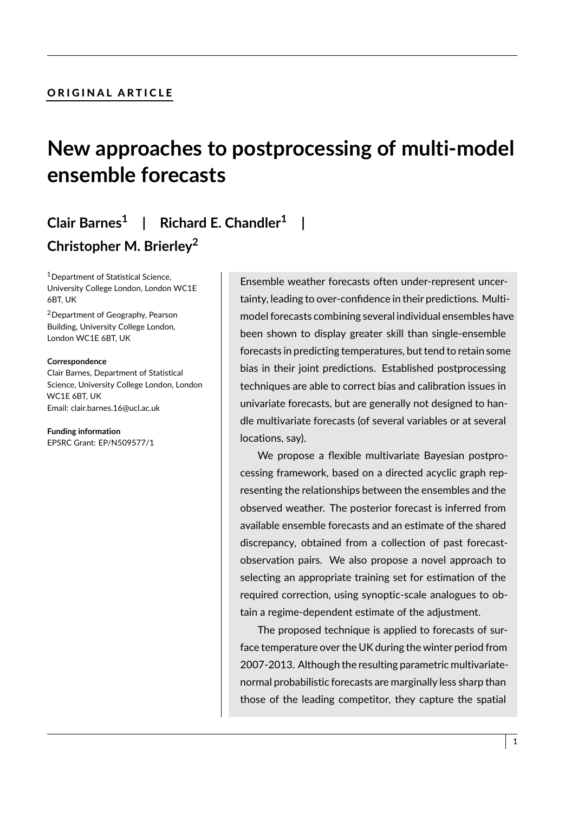## ORIGINAL ARTICLE

# **New approaches to postprocessing of multi-model ensemble forecasts**

**|**

## **Clair Barnes<sup>1</sup> | Richard E. Chandler<sup>1</sup> Christopher M. Brierley<sup>2</sup>**

<sup>1</sup> Department of Statistical Science, University College London, London WC1E 6BT, UK

<sup>2</sup>Department of Geography, Pearson Building, University College London, London WC1E 6BT, UK

#### **Correspondence**

Clair Barnes, Department of Statistical Science, University College London, London WC1E 6BT, UK Email: clair.barnes.16@ucl.ac.uk

**Funding information** EPSRC Grant: EP/N509577/1

Ensemble weather forecasts often under-represent uncertainty, leading to over-confidence in their predictions. Multimodel forecasts combining several individual ensembles have been shown to display greater skill than single-ensemble forecasts in predicting temperatures, but tend to retain some bias in their joint predictions. Established postprocessing techniques are able to correct bias and calibration issues in univariate forecasts, but are generally not designed to handle multivariate forecasts (of several variables or at several locations, say).

We propose a flexible multivariate Bayesian postprocessing framework, based on a directed acyclic graph representing the relationships between the ensembles and the observed weather. The posterior forecast is inferred from available ensemble forecasts and an estimate of the shared discrepancy, obtained from a collection of past forecastobservation pairs. We also propose a novel approach to selecting an appropriate training set for estimation of the required correction, using synoptic-scale analogues to obtain a regime-dependent estimate of the adjustment.

The proposed technique is applied to forecasts of surface temperature over the UK during the winter period from 2007-2013. Although the resulting parametric multivariatenormal probabilistic forecasts are marginally less sharp than those of the leading competitor, they capture the spatial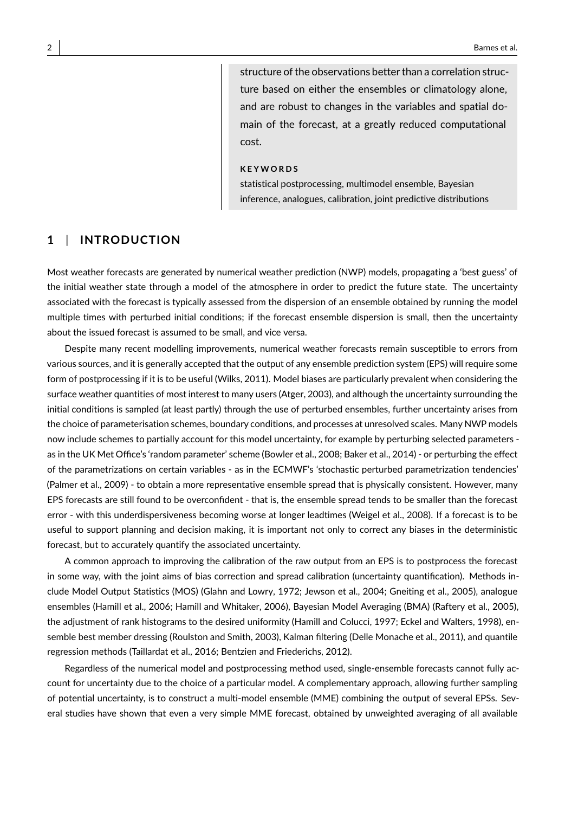structure of the observations better than a correlation structure based on either the ensembles or climatology alone, and are robust to changes in the variables and spatial domain of the forecast, at a greatly reduced computational cost.

#### **K E Y W O R D S**

statistical postprocessing, multimodel ensemble, Bayesian inference, analogues, calibration, joint predictive distributions

## **1** | **INTRODUCTION**

Most weather forecasts are generated by numerical weather prediction (NWP) models, propagating a 'best guess' of the initial weather state through a model of the atmosphere in order to predict the future state. The uncertainty associated with the forecast is typically assessed from the dispersion of an ensemble obtained by running the model multiple times with perturbed initial conditions; if the forecast ensemble dispersion is small, then the uncertainty about the issued forecast is assumed to be small, and vice versa.

Despite many recent modelling improvements, numerical weather forecasts remain susceptible to errors from various sources, and it is generally accepted that the output of any ensemble prediction system (EPS) will require some form of postprocessing if it is to be useful (Wilks, 2011). Model biases are particularly prevalent when considering the surface weather quantities of most interest to many users (Atger, 2003), and although the uncertainty surrounding the initial conditions is sampled (at least partly) through the use of perturbed ensembles, further uncertainty arises from the choice of parameterisation schemes, boundary conditions, and processes at unresolved scales. Many NWP models now include schemes to partially account for this model uncertainty, for example by perturbing selected parameters as in the UK Met Office's 'random parameter' scheme (Bowler et al., 2008; Baker et al., 2014) - or perturbing the effect of the parametrizations on certain variables - as in the ECMWF's 'stochastic perturbed parametrization tendencies' (Palmer et al., 2009) - to obtain a more representative ensemble spread that is physically consistent. However, many EPS forecasts are still found to be overconfident - that is, the ensemble spread tends to be smaller than the forecast error - with this underdispersiveness becoming worse at longer leadtimes (Weigel et al., 2008). If a forecast is to be useful to support planning and decision making, it is important not only to correct any biases in the deterministic forecast, but to accurately quantify the associated uncertainty.

A common approach to improving the calibration of the raw output from an EPS is to postprocess the forecast in some way, with the joint aims of bias correction and spread calibration (uncertainty quantification). Methods include Model Output Statistics (MOS) (Glahn and Lowry, 1972; Jewson et al., 2004; Gneiting et al., 2005), analogue ensembles (Hamill et al., 2006; Hamill and Whitaker, 2006), Bayesian Model Averaging (BMA) (Raftery et al., 2005), the adjustment of rank histograms to the desired uniformity (Hamill and Colucci, 1997; Eckel and Walters, 1998), ensemble best member dressing (Roulston and Smith, 2003), Kalman filtering (Delle Monache et al., 2011), and quantile regression methods (Taillardat et al., 2016; Bentzien and Friederichs, 2012).

Regardless of the numerical model and postprocessing method used, single-ensemble forecasts cannot fully account for uncertainty due to the choice of a particular model. A complementary approach, allowing further sampling of potential uncertainty, is to construct a multi-model ensemble (MME) combining the output of several EPSs. Several studies have shown that even a very simple MME forecast, obtained by unweighted averaging of all available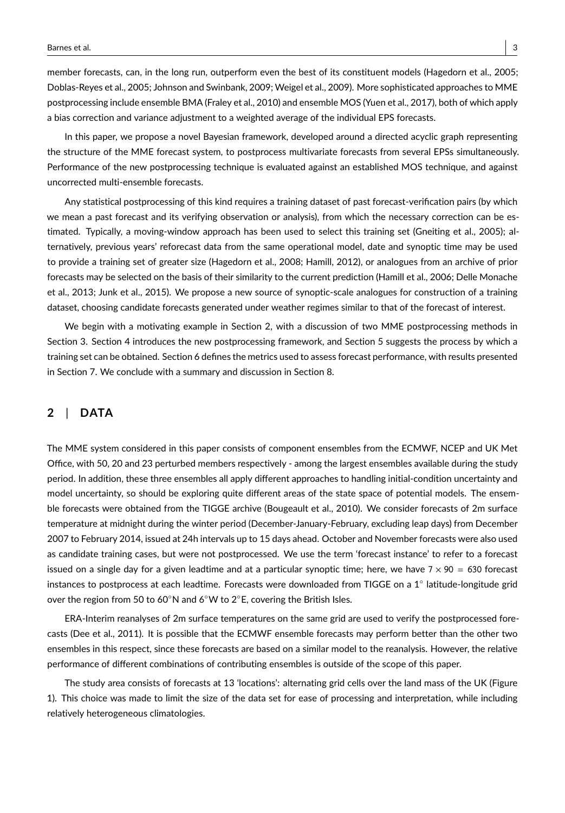member forecasts, can, in the long run, outperform even the best of its constituent models (Hagedorn et al., 2005; Doblas-Reyes et al., 2005; Johnson and Swinbank, 2009; Weigel et al., 2009). More sophisticated approaches to MME postprocessing include ensemble BMA (Fraley et al., 2010) and ensemble MOS (Yuen et al., 2017), both of which apply a bias correction and variance adjustment to a weighted average of the individual EPS forecasts.

In this paper, we propose a novel Bayesian framework, developed around a directed acyclic graph representing the structure of the MME forecast system, to postprocess multivariate forecasts from several EPSs simultaneously. Performance of the new postprocessing technique is evaluated against an established MOS technique, and against uncorrected multi-ensemble forecasts.

Any statistical postprocessing of this kind requires a training dataset of past forecast-verification pairs (by which we mean a past forecast and its verifying observation or analysis), from which the necessary correction can be estimated. Typically, a moving-window approach has been used to select this training set (Gneiting et al., 2005); alternatively, previous years' reforecast data from the same operational model, date and synoptic time may be used to provide a training set of greater size (Hagedorn et al., 2008; Hamill, 2012), or analogues from an archive of prior forecasts may be selected on the basis of their similarity to the current prediction (Hamill et al., 2006; Delle Monache et al., 2013; Junk et al., 2015). We propose a new source of synoptic-scale analogues for construction of a training dataset, choosing candidate forecasts generated under weather regimes similar to that of the forecast of interest.

We begin with a motivating example in Section 2, with a discussion of two MME postprocessing methods in Section 3. Section 4 introduces the new postprocessing framework, and Section 5 suggests the process by which a training set can be obtained. Section 6 defines the metrics used to assess forecast performance, with results presented in Section 7. We conclude with a summary and discussion in Section 8.

## **2** | **DATA**

The MME system considered in this paper consists of component ensembles from the ECMWF, NCEP and UK Met Office, with 50, 20 and 23 perturbed members respectively - among the largest ensembles available during the study period. In addition, these three ensembles all apply different approaches to handling initial-condition uncertainty and model uncertainty, so should be exploring quite different areas of the state space of potential models. The ensemble forecasts were obtained from the TIGGE archive (Bougeault et al., 2010). We consider forecasts of 2m surface temperature at midnight during the winter period (December-January-February, excluding leap days) from December 2007 to February 2014, issued at 24h intervals up to 15 days ahead. October and November forecasts were also used as candidate training cases, but were not postprocessed. We use the term 'forecast instance' to refer to a forecast issued on a single day for a given leadtime and at a particular synoptic time; here, we have  $7 \times 90 = 630$  forecast instances to postprocess at each leadtime. Forecasts were downloaded from TIGGE on a 1° latitude-longitude grid over the region from 50 to 60◦N and 6◦W to 2◦E, covering the British Isles.

ERA-Interim reanalyses of 2m surface temperatures on the same grid are used to verify the postprocessed forecasts (Dee et al., 2011). It is possible that the ECMWF ensemble forecasts may perform better than the other two ensembles in this respect, since these forecasts are based on a similar model to the reanalysis. However, the relative performance of different combinations of contributing ensembles is outside of the scope of this paper.

The study area consists of forecasts at 13 'locations': alternating grid cells over the land mass of the UK (Figure 1). This choice was made to limit the size of the data set for ease of processing and interpretation, while including relatively heterogeneous climatologies.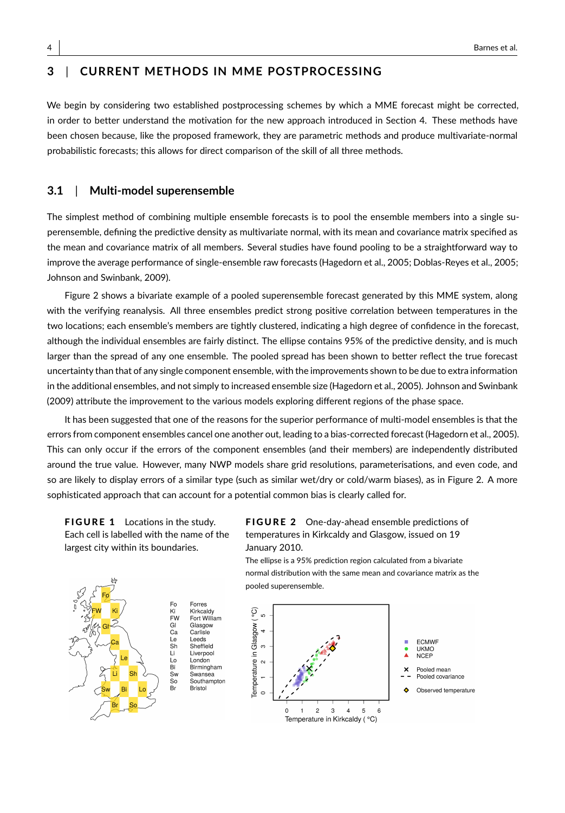# **3** | **CURRENT METHODS IN MME POSTPROCESSING**

We begin by considering two established postprocessing schemes by which a MME forecast might be corrected, in order to better understand the motivation for the new approach introduced in Section 4. These methods have been chosen because, like the proposed framework, they are parametric methods and produce multivariate-normal probabilistic forecasts; this allows for direct comparison of the skill of all three methods.

## **3.1** | **Multi-model superensemble**

The simplest method of combining multiple ensemble forecasts is to pool the ensemble members into a single superensemble, defining the predictive density as multivariate normal, with its mean and covariance matrix specified as the mean and covariance matrix of all members. Several studies have found pooling to be a straightforward way to improve the average performance of single-ensemble raw forecasts (Hagedorn et al., 2005; Doblas-Reyes et al., 2005; Johnson and Swinbank, 2009).

Figure 2 shows a bivariate example of a pooled superensemble forecast generated by this MME system, along with the verifying reanalysis. All three ensembles predict strong positive correlation between temperatures in the two locations; each ensemble's members are tightly clustered, indicating a high degree of confidence in the forecast, although the individual ensembles are fairly distinct. The ellipse contains 95% of the predictive density, and is much larger than the spread of any one ensemble. The pooled spread has been shown to better reflect the true forecast uncertainty than that of any single component ensemble, with the improvements shown to be due to extra information in the additional ensembles, and not simply to increased ensemble size (Hagedorn et al., 2005). Johnson and Swinbank (2009) attribute the improvement to the various models exploring different regions of the phase space.

It has been suggested that one of the reasons for the superior performance of multi-model ensembles is that the errors from component ensembles cancel one another out, leading to a bias-corrected forecast (Hagedorn et al., 2005). This can only occur if the errors of the component ensembles (and their members) are independently distributed around the true value. However, many NWP models share grid resolutions, parameterisations, and even code, and so are likely to display errors of a similar type (such as similar wet/dry or cold/warm biases), as in Figure 2. A more sophisticated approach that can account for a potential common bias is clearly called for.



The ellipse is a 95% prediction region calculated from a bivariate normal distribution with the same mean and covariance matrix as the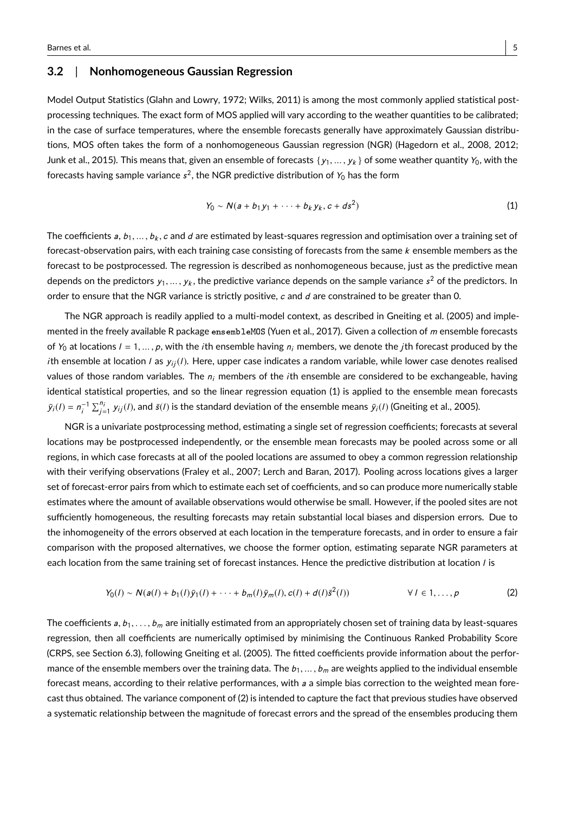#### **3.2** | **Nonhomogeneous Gaussian Regression**

Model Output Statistics (Glahn and Lowry, 1972; Wilks, 2011) is among the most commonly applied statistical postprocessing techniques. The exact form of MOS applied will vary according to the weather quantities to be calibrated; in the case of surface temperatures, where the ensemble forecasts generally have approximately Gaussian distributions, MOS often takes the form of a nonhomogeneous Gaussian regression (NGR) (Hagedorn et al., 2008, 2012; Junk et al., 2015). This means that, given an ensemble of forecasts  $\{y_1, \ldots, y_k\}$  of some weather quantity  $Y_0$ , with the forecasts having sample variance  $s^2$ , the NGR predictive distribution of  $\gamma_0$  has the form

$$
Y_0 \sim N(a + b_1 y_1 + \dots + b_k y_k, c + ds^2)
$$
 (1)

The coefficients a,  $b_1, ..., b_k$ , c and d are estimated by least-squares regression and optimisation over a training set of forecast-observation pairs, with each training case consisting of forecasts from the same  $k$  ensemble members as the forecast to be postprocessed. The regression is described as nonhomogeneous because, just as the predictive mean depends on the predictors  $y_1, ..., y_k$ , the predictive variance depends on the sample variance  $s^2$  of the predictors. In order to ensure that the NGR variance is strictly positive,  $c$  and  $d$  are constrained to be greater than 0.

The NGR approach is readily applied to a multi-model context, as described in Gneiting et al. (2005) and implemented in the freely available R package ensembleMOS (Yuen et al., 2017). Given a collection of m ensemble forecasts of  $Y_0$  at locations  $l = 1, ..., p$ , with the *i*th ensemble having  $n_i$  members, we denote the *j*th forecast produced by the *i*th ensemble at location *l* as  $y_{ii}(l)$ . Here, upper case indicates a random variable, while lower case denotes realised values of those random variables. The  $n_i$  members of the *i*th ensemble are considered to be exchangeable, having identical statistical properties, and so the linear regression equation (1) is applied to the ensemble mean forecasts  $\bar{y}_i(t) = n_i^{-1} \sum_{j=1}^{n_i} y_{ij}(t)$ , and  $\bar{s}(t)$  is the standard deviation of the ensemble means  $\bar{y}_i(t)$  (Gneiting et al., 2005).

NGR is a univariate postprocessing method, estimating a single set of regression coefficients; forecasts at several locations may be postprocessed independently, or the ensemble mean forecasts may be pooled across some or all regions, in which case forecasts at all of the pooled locations are assumed to obey a common regression relationship with their verifying observations (Fraley et al., 2007; Lerch and Baran, 2017). Pooling across locations gives a larger set of forecast-error pairs from which to estimate each set of coefficients, and so can produce more numerically stable estimates where the amount of available observations would otherwise be small. However, if the pooled sites are not sufficiently homogeneous, the resulting forecasts may retain substantial local biases and dispersion errors. Due to the inhomogeneity of the errors observed at each location in the temperature forecasts, and in order to ensure a fair comparison with the proposed alternatives, we choose the former option, estimating separate NGR parameters at each location from the same training set of forecast instances. Hence the predictive distribution at location / is

$$
Y_0(I) \sim N(a(I) + b_1(I)\bar{y}_1(I) + \cdots + b_m(I)\bar{y}_m(I), c(I) + d(I)\bar{s}^2(I)) \qquad \forall I \in 1, ..., p
$$
 (2)

The coefficients  $a, b_1, \ldots, b_m$  are initially estimated from an appropriately chosen set of training data by least-squares regression, then all coefficients are numerically optimised by minimising the Continuous Ranked Probability Score (CRPS, see Section 6.3), following Gneiting et al. (2005). The fitted coefficients provide information about the performance of the ensemble members over the training data. The  $b_1, \ldots, b_m$  are weights applied to the individual ensemble forecast means, according to their relative performances, with  $a$  a simple bias correction to the weighted mean forecast thus obtained. The variance component of (2) is intended to capture the fact that previous studies have observed a systematic relationship between the magnitude of forecast errors and the spread of the ensembles producing them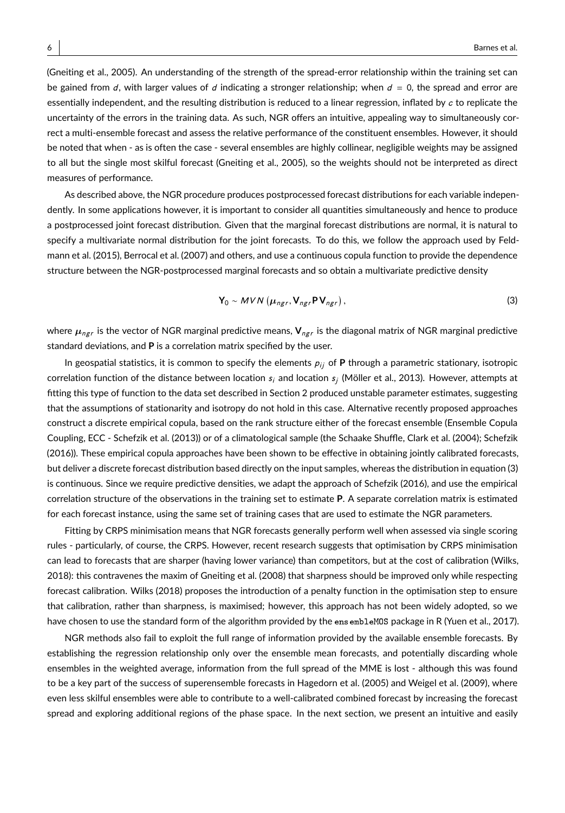(Gneiting et al., 2005). An understanding of the strength of the spread-error relationship within the training set can be gained from d, with larger values of d indicating a stronger relationship; when  $d = 0$ , the spread and error are essentially independent, and the resulting distribution is reduced to a linear regression, inflated by  $c$  to replicate the uncertainty of the errors in the training data. As such, NGR offers an intuitive, appealing way to simultaneously correct a multi-ensemble forecast and assess the relative performance of the constituent ensembles. However, it should be noted that when - as is often the case - several ensembles are highly collinear, negligible weights may be assigned to all but the single most skilful forecast (Gneiting et al., 2005), so the weights should not be interpreted as direct measures of performance.

As described above, the NGR procedure produces postprocessed forecast distributions for each variable independently. In some applications however, it is important to consider all quantities simultaneously and hence to produce a postprocessed joint forecast distribution. Given that the marginal forecast distributions are normal, it is natural to specify a multivariate normal distribution for the joint forecasts. To do this, we follow the approach used by Feldmann et al. (2015), Berrocal et al. (2007) and others, and use a continuous copula function to provide the dependence structure between the NGR-postprocessed marginal forecasts and so obtain a multivariate predictive density

$$
\mathbf{Y}_0 \sim MVN\left(\mu_{ngr}, \mathbf{V}_{ngr}\mathbf{PV}_{ngr}\right),\tag{3}
$$

where  $\mu_{ngr}$  is the vector of NGR marginal predictive means,  $V_{ngr}$  is the diagonal matrix of NGR marginal predictive standard deviations, and **P** is a correlation matrix specified by the user.

In geospatial statistics, it is common to specify the elements  $p_{ij}$  of **P** through a parametric stationary, isotropic correlation function of the distance between location  $s_i$  and location  $s_j$  (Möller et al., 2013). However, attempts at fitting this type of function to the data set described in Section 2 produced unstable parameter estimates, suggesting that the assumptions of stationarity and isotropy do not hold in this case. Alternative recently proposed approaches construct a discrete empirical copula, based on the rank structure either of the forecast ensemble (Ensemble Copula Coupling, ECC - Schefzik et al. (2013)) or of a climatological sample (the Schaake Shuffle, Clark et al. (2004); Schefzik (2016)). These empirical copula approaches have been shown to be effective in obtaining jointly calibrated forecasts, but deliver a discrete forecast distribution based directly on the input samples, whereas the distribution in equation (3) is continuous. Since we require predictive densities, we adapt the approach of Schefzik (2016), and use the empirical correlation structure of the observations in the training set to estimate **P**. A separate correlation matrix is estimated for each forecast instance, using the same set of training cases that are used to estimate the NGR parameters.

Fitting by CRPS minimisation means that NGR forecasts generally perform well when assessed via single scoring rules - particularly, of course, the CRPS. However, recent research suggests that optimisation by CRPS minimisation can lead to forecasts that are sharper (having lower variance) than competitors, but at the cost of calibration (Wilks, 2018): this contravenes the maxim of Gneiting et al. (2008) that sharpness should be improved only while respecting forecast calibration. Wilks (2018) proposes the introduction of a penalty function in the optimisation step to ensure that calibration, rather than sharpness, is maximised; however, this approach has not been widely adopted, so we have chosen to use the standard form of the algorithm provided by the ensembleMOS package in R (Yuen et al., 2017).

NGR methods also fail to exploit the full range of information provided by the available ensemble forecasts. By establishing the regression relationship only over the ensemble mean forecasts, and potentially discarding whole ensembles in the weighted average, information from the full spread of the MME is lost - although this was found to be a key part of the success of superensemble forecasts in Hagedorn et al. (2005) and Weigel et al. (2009), where even less skilful ensembles were able to contribute to a well-calibrated combined forecast by increasing the forecast spread and exploring additional regions of the phase space. In the next section, we present an intuitive and easily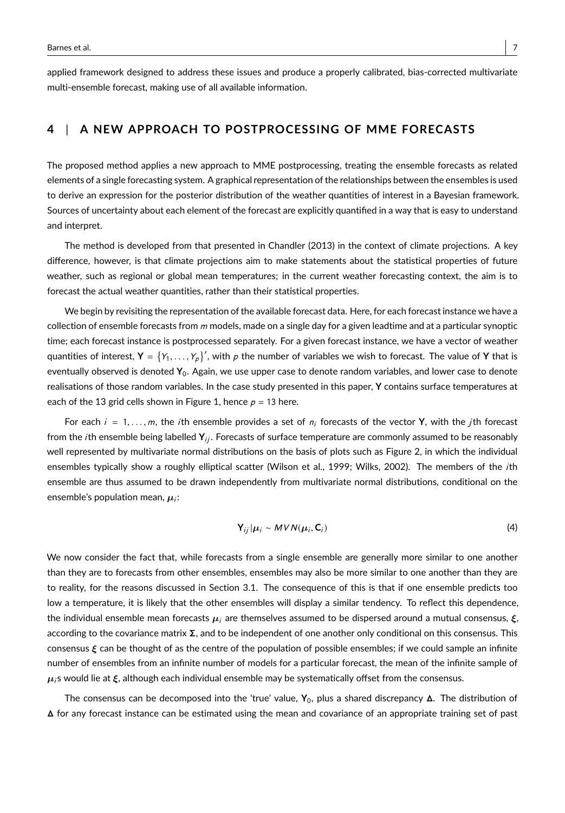applied framework designed to address these issues and produce a properly calibrated, bias-corrected multivariate multi-ensemble forecast, making use of all available information.

## **4** | **A NEW APPROACH TO POSTPROCESSING OF MME FORECASTS**

The proposed method applies a new approach to MME postprocessing, treating the ensemble forecasts as related elements of a single forecasting system. A graphical representation of the relationships between the ensembles is used to derive an expression for the posterior distribution of the weather quantities of interest in a Bayesian framework. Sources of uncertainty about each element of the forecast are explicitly quantified in a way that is easy to understand and interpret.

The method is developed from that presented in Chandler (2013) in the context of climate projections. A key difference, however, is that climate projections aim to make statements about the statistical properties of future weather, such as regional or global mean temperatures; in the current weather forecasting context, the aim is to forecast the actual weather quantities, rather than their statistical properties.

We begin by revisiting the representation of the available forecast data. Here, for each forecast instance we have a collection of ensemble forecasts from  $m$  models, made on a single day for a given leadtime and at a particular synoptic time; each forecast instance is postprocessed separately. For a given forecast instance, we have a vector of weather quantities of interest,  $Y = \{Y_1, \ldots, Y_p\}$ , with p the number of variables we wish to forecast. The value of Y that is eventually observed is denoted **Y**0. Again, we use upper case to denote random variables, and lower case to denote realisations of those random variables. In the case study presented in this paper, **Y** contains surface temperatures at each of the 13 grid cells shown in Figure 1, hence  $p = 13$  here.

For each  $i = 1, \ldots, m$ , the *i*th ensemble provides a set of  $n_i$  forecasts of the vector **Y**, with the *j*th forecast from the *i*th ensemble being labelled **Y**<sub>ij</sub>. Forecasts of surface temperature are commonly assumed to be reasonably well represented by multivariate normal distributions on the basis of plots such as Figure 2, in which the individual ensembles typically show a roughly elliptical scatter (Wilson et al., 1999; Wilks, 2002). The members of the ith ensemble are thus assumed to be drawn independently from multivariate normal distributions, conditional on the ensemble's population mean,  $\mu_i$ :

$$
\mathbf{Y}_{ij} | \boldsymbol{\mu}_i \sim MVN(\boldsymbol{\mu}_i, \mathbf{C}_i) \tag{4}
$$

We now consider the fact that, while forecasts from a single ensemble are generally more similar to one another than they are to forecasts from other ensembles, ensembles may also be more similar to one another than they are to reality, for the reasons discussed in Section 3.1. The consequence of this is that if one ensemble predicts too low a temperature, it is likely that the other ensembles will display a similar tendency. To reflect this dependence, the individual ensemble mean forecasts  $\mu_i$  are themselves assumed to be dispersed around a mutual consensus,  $\xi$ , according to the covariance matrix  $\Sigma$ , and to be independent of one another only conditional on this consensus. This consensus  $\xi$  can be thought of as the centre of the population of possible ensembles; if we could sample an infinite number of ensembles from an infinite number of models for a particular forecast, the mean of the infinite sample of  $\mu_i$ s would lie at  $\xi$ , although each individual ensemble may be systematically offset from the consensus.

The consensus can be decomposed into the 'true' value, **Y**0, plus a shared discrepancy ∆. The distribution of ∆ for any forecast instance can be estimated using the mean and covariance of an appropriate training set of past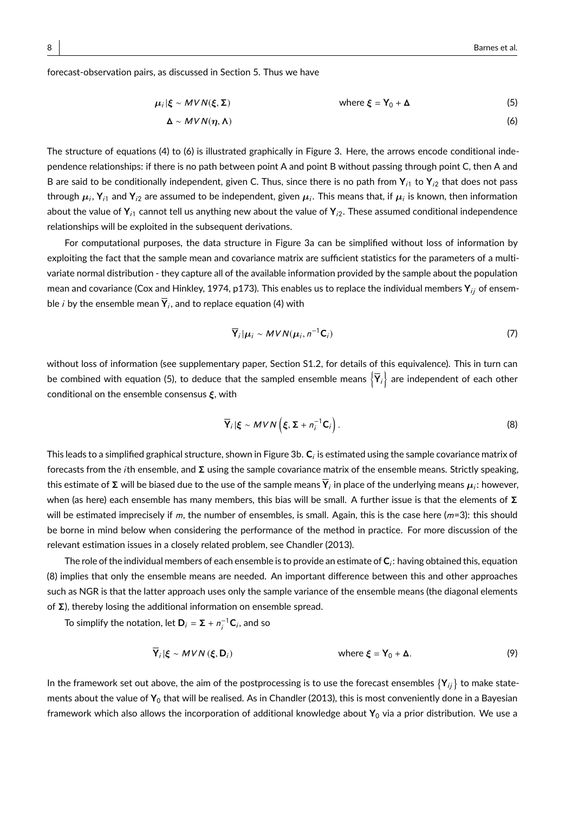forecast-observation pairs, as discussed in Section 5. Thus we have

$$
\mu_i|\xi \sim MVN(\xi, \Sigma) \qquad \text{where } \xi = Y_0 + \Delta \qquad (5)
$$

$$
\Delta \sim MVN(\eta,\Lambda) \tag{6}
$$

The structure of equations (4) to (6) is illustrated graphically in Figure 3. Here, the arrows encode conditional independence relationships: if there is no path between point A and point B without passing through point C, then A and B are said to be conditionally independent, given C. Thus, since there is no path from  $Y_{i1}$  to  $Y_{i2}$  that does not pass through  $\mu_i, Y_{i1}$  and  $\mathsf{Y}_{i2}$  are assumed to be independent, given  $\mu_i$ . This means that, if  $\mu_i$  is known, then information about the value of  $Y_{i1}$  cannot tell us anything new about the value of  $Y_{i2}$ . These assumed conditional independence relationships will be exploited in the subsequent derivations.

For computational purposes, the data structure in Figure 3a can be simplified without loss of information by exploiting the fact that the sample mean and covariance matrix are sufficient statistics for the parameters of a multivariate normal distribution - they capture all of the available information provided by the sample about the population mean and covariance (Cox and Hinkley, 1974, p173). This enables us to replace the individual members **Y**ij of ensemble  $i$  by the ensemble mean  $\mathbf{Y}_i$ , and to replace equation (4) with

$$
\overline{\mathbf{Y}}_i | \boldsymbol{\mu}_i \sim MVN(\boldsymbol{\mu}_i, n^{-1}\mathbf{C}_i)
$$
\n(7)

without loss of information (see supplementary paper, Section S1.2, for details of this equivalence). This in turn can be combined with equation (5), to deduce that the sampled ensemble means  $\{\overline{\mathsf{Y}}_i\}$  are independent of each other conditional on the ensemble consensus  $\xi$ , with

$$
\overline{\mathbf{Y}}_i|\boldsymbol{\xi} \sim MVN\left(\boldsymbol{\xi}, \boldsymbol{\Sigma} + n_i^{-1}\mathbf{C}_i\right). \tag{8}
$$

This leads to a simplified graphical structure, shown in Figure 3b.  ${\sf C}_i$  is estimated using the sample covariance matrix of forecasts from the *i*th ensemble, and  $\Sigma$  using the sample covariance matrix of the ensemble means. Strictly speaking, this estimate of **Σ** will be biased due to the use of the sample means **Y**<sub>i</sub> in place of the underlying means  $\pmb{\mu}_i$ : however, when (as here) each ensemble has many members, this bias will be small. A further issue is that the elements of  $\Sigma$ will be estimated imprecisely if m, the number of ensembles, is small. Again, this is the case here ( $m=3$ ): this should be borne in mind below when considering the performance of the method in practice. For more discussion of the relevant estimation issues in a closely related problem, see Chandler (2013).

The role of the individual members of each ensemble is to provide an estimate of **C**<sup>i</sup> : having obtained this, equation (8) implies that only the ensemble means are needed. An important difference between this and other approaches such as NGR is that the latter approach uses only the sample variance of the ensemble means (the diagonal elements of  $\Sigma$ ), thereby losing the additional information on ensemble spread.

To simplify the notation, let  $D_i = \Sigma + n_i^{-1}C_i$ , and so

$$
\overline{Y}_i|\xi \sim MVN(\xi, D_i) \qquad \text{where } \xi = Y_0 + \Delta. \tag{9}
$$

In the framework set out above, the aim of the postprocessing is to use the forecast ensembles  $\{Y_{ij}\}$  to make statements about the value of **Y**<sup>0</sup> that will be realised. As in Chandler (2013), this is most conveniently done in a Bayesian framework which also allows the incorporation of additional knowledge about  $Y_0$  via a prior distribution. We use a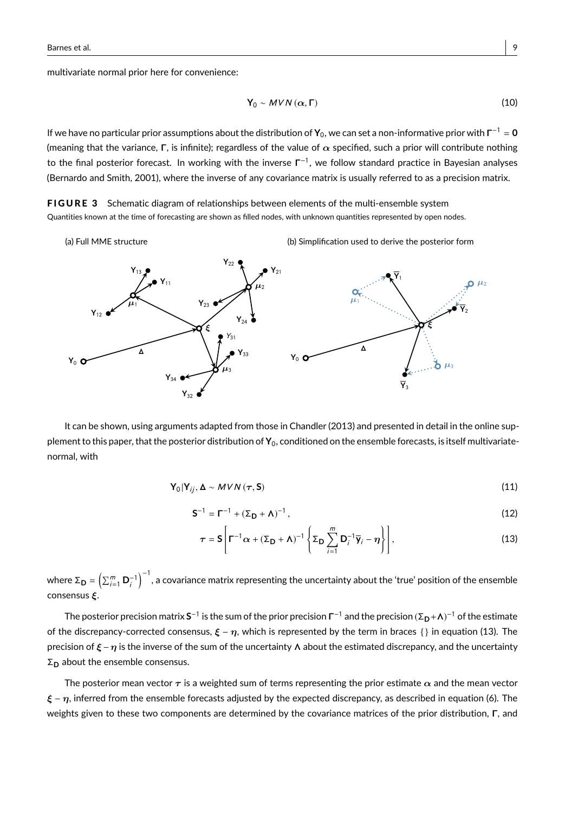multivariate normal prior here for convenience:

$$
\mathbf{Y}_0 \sim MVN\left(\alpha, \Gamma\right) \tag{10}
$$

If we have no particular prior assumptions about the distribution of **Y**0, we can set a non-informative prior with Γ <sup>−</sup><sup>1</sup> = **0** (meaning that the variance, Γ, is infinite); regardless of the value of  $\alpha$  specified, such a prior will contribute nothing to the final posterior forecast. In working with the inverse  $\Gamma^{-1}$ , we follow standard practice in Bayesian analyses (Bernardo and Smith, 2001), where the inverse of any covariance matrix is usually referred to as a precision matrix.



(a) Full MME structure

(b) Simplification used to derive the posterior form



It can be shown, using arguments adapted from those in Chandler (2013) and presented in detail in the online supplement to this paper, that the posterior distribution of **Y**0, conditioned on the ensemble forecasts, is itself multivariatenormal, with

$$
\mathbf{Y}_0|\mathbf{Y}_{ij},\Delta \sim MVN(\tau,\mathbf{S})\tag{11}
$$

$$
S^{-1} = \Gamma^{-1} + (\Sigma_D + \Lambda)^{-1}, \tag{12}
$$

$$
\boldsymbol{\tau} = \mathbf{S} \left[ \boldsymbol{\Gamma}^{-1} \boldsymbol{\alpha} + (\boldsymbol{\Sigma}_{\mathbf{D}} + \boldsymbol{\Lambda})^{-1} \left\{ \boldsymbol{\Sigma}_{\mathbf{D}} \sum_{i=1}^{m} \mathbf{D}_{i}^{-1} \overline{\mathbf{y}}_{i} - \boldsymbol{\eta} \right\} \right],
$$
(13)

where  $\Sigma_{\bf D}=\left(\sum_{i=1}^m{\bf D}_i^{-1}\right)^{-1}$ , a covariance matrix representing the uncertainty about the 'true' position of the ensemble consensus ξ.

The posterior precision matrix **S**<sup>−1</sup> is the sum of the prior precision **Γ**<sup>−1</sup> and the precision (Σ<sub>D</sub>+Λ)<sup>−1</sup> of the estimate of the discrepancy-corrected consensus,  $\xi - \eta$ , which is represented by the term in braces {} in equation (13). The precision of  $\xi - \eta$  is the inverse of the sum of the uncertainty Λ about the estimated discrepancy, and the uncertainty  $\Sigma_{\mathsf{D}}$  about the ensemble consensus.

The posterior mean vector  $\tau$  is a weighted sum of terms representing the prior estimate  $\alpha$  and the mean vector  $\xi - \eta$ , inferred from the ensemble forecasts adjusted by the expected discrepancy, as described in equation (6). The weights given to these two components are determined by the covariance matrices of the prior distribution, Γ, and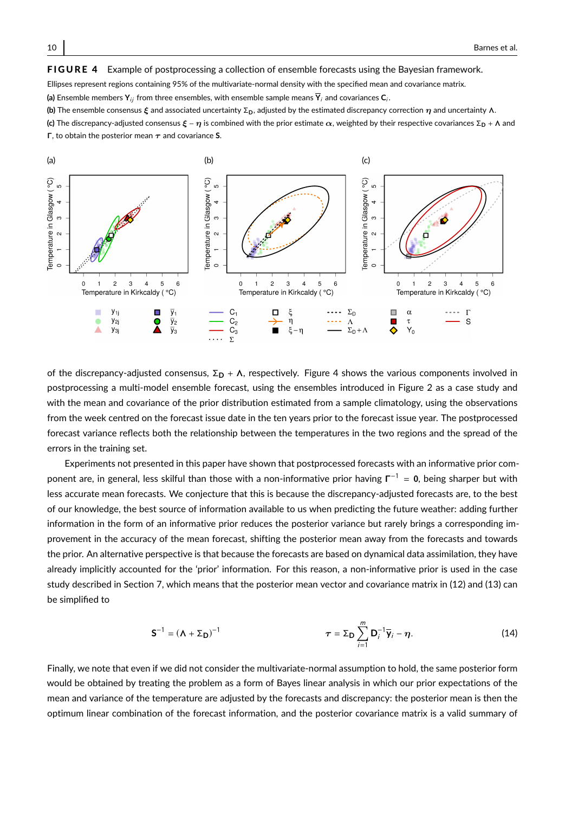**FIGURE 4** Example of postprocessing a collection of ensemble forecasts using the Bayesian framework. Ellipses represent regions containing 95% of the multivariate-normal density with the specified mean and covariance matrix.

**(a)** Ensemble members  $Y_{ij}$  from three ensembles, with ensemble sample means  $\overline{Y}_i$  and covariances  $C_i$ .

**(b)** The ensemble consensus ξ and associated uncertainty Σ**D**, adjusted by the estimated discrepancy correction η and uncertainty Λ. **(c)** The discrepancy-adjusted consensus  $\xi - \eta$  is combined with the prior estimate  $\alpha$ , weighted by their respective covariances  $\Sigma_D + \Lambda$  and Γ, to obtain the posterior mean τ and covariance **S**.



of the discrepancy-adjusted consensus, Σ<sub>D</sub> + Λ, respectively. Figure 4 shows the various components involved in postprocessing a multi-model ensemble forecast, using the ensembles introduced in Figure 2 as a case study and with the mean and covariance of the prior distribution estimated from a sample climatology, using the observations from the week centred on the forecast issue date in the ten years prior to the forecast issue year. The postprocessed forecast variance reflects both the relationship between the temperatures in the two regions and the spread of the errors in the training set.

Experiments not presented in this paper have shown that postprocessed forecasts with an informative prior component are, in general, less skilful than those with a non-informative prior having  $\Gamma^{-1}$  = 0, being sharper but with less accurate mean forecasts. We conjecture that this is because the discrepancy-adjusted forecasts are, to the best of our knowledge, the best source of information available to us when predicting the future weather: adding further information in the form of an informative prior reduces the posterior variance but rarely brings a corresponding improvement in the accuracy of the mean forecast, shifting the posterior mean away from the forecasts and towards the prior. An alternative perspective is that because the forecasts are based on dynamical data assimilation, they have already implicitly accounted for the 'prior' information. For this reason, a non-informative prior is used in the case study described in Section 7, which means that the posterior mean vector and covariance matrix in (12) and (13) can be simplified to

$$
\mathbf{S}^{-1} = (\mathbf{\Lambda} + \Sigma_{\mathbf{D}})^{-1} \qquad \qquad \mathbf{\tau} = \Sigma_{\mathbf{D}} \sum_{i=1}^{m} \mathbf{D}_i^{-1} \overline{\mathbf{y}}_i - \eta. \tag{14}
$$

Finally, we note that even if we did not consider the multivariate-normal assumption to hold, the same posterior form would be obtained by treating the problem as a form of Bayes linear analysis in which our prior expectations of the mean and variance of the temperature are adjusted by the forecasts and discrepancy: the posterior mean is then the optimum linear combination of the forecast information, and the posterior covariance matrix is a valid summary of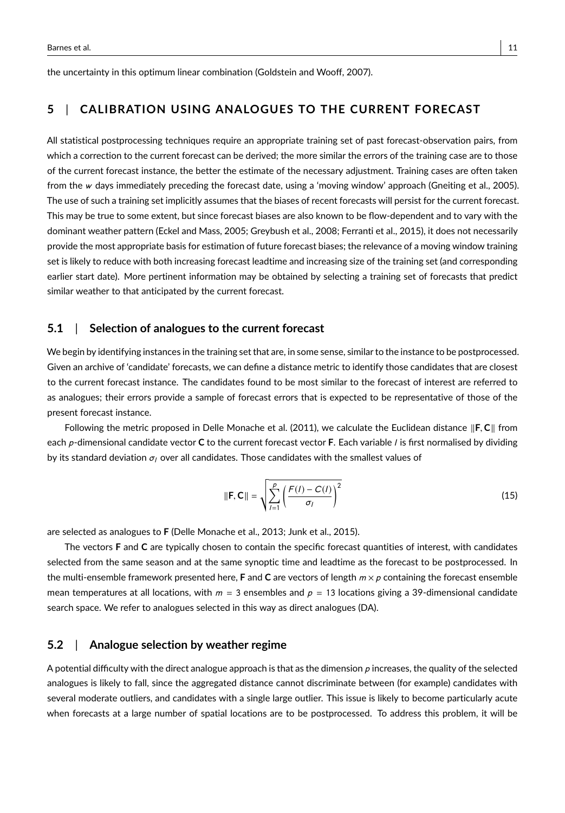the uncertainty in this optimum linear combination (Goldstein and Wooff, 2007).

## **5** | **CALIBRATION USING ANALOGUES TO THE CURRENT FORECAST**

All statistical postprocessing techniques require an appropriate training set of past forecast-observation pairs, from which a correction to the current forecast can be derived; the more similar the errors of the training case are to those of the current forecast instance, the better the estimate of the necessary adjustment. Training cases are often taken from the w days immediately preceding the forecast date, using a 'moving window' approach (Gneiting et al., 2005). The use of such a training set implicitly assumes that the biases of recent forecasts will persist for the current forecast. This may be true to some extent, but since forecast biases are also known to be flow-dependent and to vary with the dominant weather pattern (Eckel and Mass, 2005; Greybush et al., 2008; Ferranti et al., 2015), it does not necessarily provide the most appropriate basis for estimation of future forecast biases; the relevance of a moving window training set is likely to reduce with both increasing forecast leadtime and increasing size of the training set (and corresponding earlier start date). More pertinent information may be obtained by selecting a training set of forecasts that predict similar weather to that anticipated by the current forecast.

#### **5.1** | **Selection of analogues to the current forecast**

We begin by identifying instances in the training set that are, in some sense, similar to the instance to be postprocessed. Given an archive of 'candidate' forecasts, we can define a distance metric to identify those candidates that are closest to the current forecast instance. The candidates found to be most similar to the forecast of interest are referred to as analogues; their errors provide a sample of forecast errors that is expected to be representative of those of the present forecast instance.

Following the metric proposed in Delle Monache et al. (2011), we calculate the Euclidean distance <sup>k</sup>**F**, **<sup>C</sup>**<sup>k</sup> from each p-dimensional candidate vector **C** to the current forecast vector **F**. Each variable l is first normalised by dividing by its standard deviation  $\sigma_l$  over all candidates. Those candidates with the smallest values of

$$
\|\mathbf{F}, \mathbf{C}\| = \sqrt{\sum_{l=1}^{p} \left(\frac{F(l) - C(l)}{\sigma_l}\right)^2}
$$
(15)

are selected as analogues to **F** (Delle Monache et al., 2013; Junk et al., 2015).

The vectors **F** and **C** are typically chosen to contain the specific forecast quantities of interest, with candidates selected from the same season and at the same synoptic time and leadtime as the forecast to be postprocessed. In the multi-ensemble framework presented here, **F** and **C** are vectors of length m × p containing the forecast ensemble mean temperatures at all locations, with  $m = 3$  ensembles and  $p = 13$  locations giving a 39-dimensional candidate search space. We refer to analogues selected in this way as direct analogues (DA).

#### **5.2** | **Analogue selection by weather regime**

A potential difficulty with the direct analogue approach is that as the dimension  $p$  increases, the quality of the selected analogues is likely to fall, since the aggregated distance cannot discriminate between (for example) candidates with several moderate outliers, and candidates with a single large outlier. This issue is likely to become particularly acute when forecasts at a large number of spatial locations are to be postprocessed. To address this problem, it will be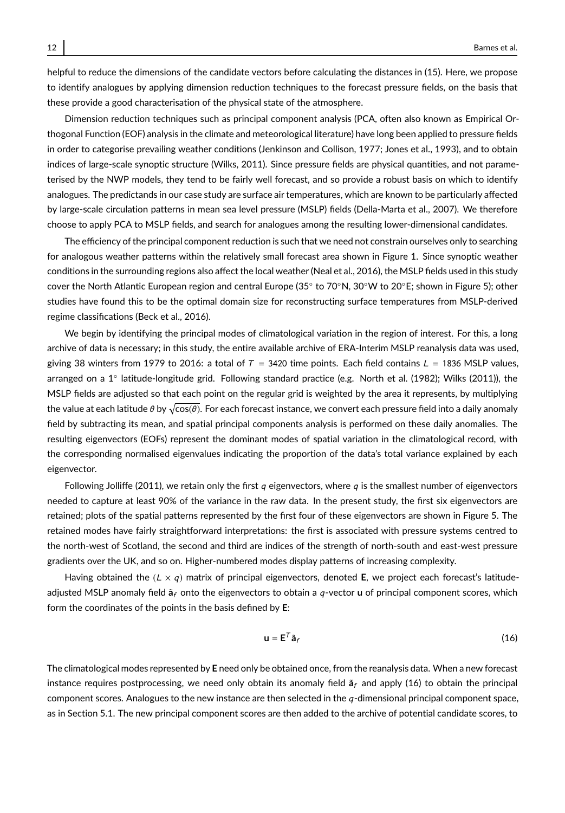helpful to reduce the dimensions of the candidate vectors before calculating the distances in (15). Here, we propose to identify analogues by applying dimension reduction techniques to the forecast pressure fields, on the basis that these provide a good characterisation of the physical state of the atmosphere.

Dimension reduction techniques such as principal component analysis (PCA, often also known as Empirical Orthogonal Function (EOF) analysis in the climate and meteorological literature) have long been applied to pressure fields in order to categorise prevailing weather conditions (Jenkinson and Collison, 1977; Jones et al., 1993), and to obtain indices of large-scale synoptic structure (Wilks, 2011). Since pressure fields are physical quantities, and not parameterised by the NWP models, they tend to be fairly well forecast, and so provide a robust basis on which to identify analogues. The predictands in our case study are surface air temperatures, which are known to be particularly affected by large-scale circulation patterns in mean sea level pressure (MSLP) fields (Della-Marta et al., 2007). We therefore choose to apply PCA to MSLP fields, and search for analogues among the resulting lower-dimensional candidates.

The efficiency of the principal component reduction is such that we need not constrain ourselves only to searching for analogous weather patterns within the relatively small forecast area shown in Figure 1. Since synoptic weather conditions in the surrounding regions also affect the local weather (Neal et al., 2016), the MSLP fields used in this study cover the North Atlantic European region and central Europe (35 $^\circ$  to 70 $^\circ$ N, 30 $^\circ$ W to 20 $^\circ$ E; shown in Figure 5); other studies have found this to be the optimal domain size for reconstructing surface temperatures from MSLP-derived regime classifications (Beck et al., 2016).

We begin by identifying the principal modes of climatological variation in the region of interest. For this, a long archive of data is necessary; in this study, the entire available archive of ERA-Interim MSLP reanalysis data was used, giving 38 winters from 1979 to 2016: a total of  $T = 3420$  time points. Each field contains  $L = 1836$  MSLP values, arranged on a 1<sup>°</sup> latitude-longitude grid. Following standard practice (e.g. North et al. (1982); Wilks (2011)), the MSLP fields are adjusted so that each point on the regular grid is weighted by the area it represents, by multiplying the value at each latitude  $\theta$  by  $\sqrt{\cos(\theta)}$ . For each forecast instance, we convert each pressure field into a daily anomaly field by subtracting its mean, and spatial principal components analysis is performed on these daily anomalies. The resulting eigenvectors (EOFs) represent the dominant modes of spatial variation in the climatological record, with the corresponding normalised eigenvalues indicating the proportion of the data's total variance explained by each eigenvector.

Following Jolliffe (2011), we retain only the first  $q$  eigenvectors, where  $q$  is the smallest number of eigenvectors needed to capture at least 90% of the variance in the raw data. In the present study, the first six eigenvectors are retained; plots of the spatial patterns represented by the first four of these eigenvectors are shown in Figure 5. The retained modes have fairly straightforward interpretations: the first is associated with pressure systems centred to the north-west of Scotland, the second and third are indices of the strength of north-south and east-west pressure gradients over the UK, and so on. Higher-numbered modes display patterns of increasing complexity.

Having obtained the  $(L \times q)$  matrix of principal eigenvectors, denoted **E**, we project each forecast's latitudeadjusted MSLP anomaly field  $\tilde{a}_f$  onto the eigenvectors to obtain a q-vector **u** of principal component scores, which form the coordinates of the points in the basis defined by **E**:

$$
\mathbf{u} = \mathbf{E}^T \tilde{\mathbf{a}}_f \tag{16}
$$

The climatological modes represented by **E** need only be obtained once, from the reanalysis data. When a new forecast instance requires postprocessing, we need only obtain its anomaly field  $\tilde{a}_f$  and apply (16) to obtain the principal component scores. Analogues to the new instance are then selected in the q-dimensional principal component space, as in Section 5.1. The new principal component scores are then added to the archive of potential candidate scores, to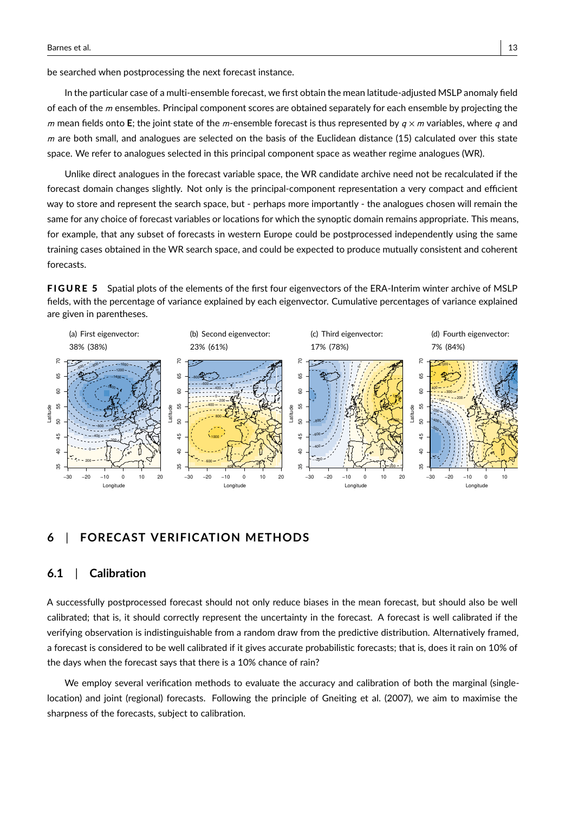be searched when postprocessing the next forecast instance.

In the particular case of a multi-ensemble forecast, we first obtain the mean latitude-adjusted MSLP anomaly field of each of the  $m$  ensembles. Principal component scores are obtained separately for each ensemble by projecting the m mean fields onto **E**; the joint state of the m-ensemble forecast is thus represented by  $q \times m$  variables, where q and  $m$  are both small, and analogues are selected on the basis of the Euclidean distance (15) calculated over this state space. We refer to analogues selected in this principal component space as weather regime analogues (WR).

Unlike direct analogues in the forecast variable space, the WR candidate archive need not be recalculated if the forecast domain changes slightly. Not only is the principal-component representation a very compact and efficient way to store and represent the search space, but - perhaps more importantly - the analogues chosen will remain the same for any choice of forecast variables or locations for which the synoptic domain remains appropriate. This means, for example, that any subset of forecasts in western Europe could be postprocessed independently using the same training cases obtained in the WR search space, and could be expected to produce mutually consistent and coherent forecasts.

FIGURE 5 Spatial plots of the elements of the first four eigenvectors of the ERA-Interim winter archive of MSLP fields, with the percentage of variance explained by each eigenvector. Cumulative percentages of variance explained are given in parentheses.



# **6** | **FORECAST VERIFICATION METHODS**

## **6.1** | **Calibration**

A successfully postprocessed forecast should not only reduce biases in the mean forecast, but should also be well calibrated; that is, it should correctly represent the uncertainty in the forecast. A forecast is well calibrated if the verifying observation is indistinguishable from a random draw from the predictive distribution. Alternatively framed, a forecast is considered to be well calibrated if it gives accurate probabilistic forecasts; that is, does it rain on 10% of the days when the forecast says that there is a 10% chance of rain?

We employ several verification methods to evaluate the accuracy and calibration of both the marginal (singlelocation) and joint (regional) forecasts. Following the principle of Gneiting et al. (2007), we aim to maximise the sharpness of the forecasts, subject to calibration.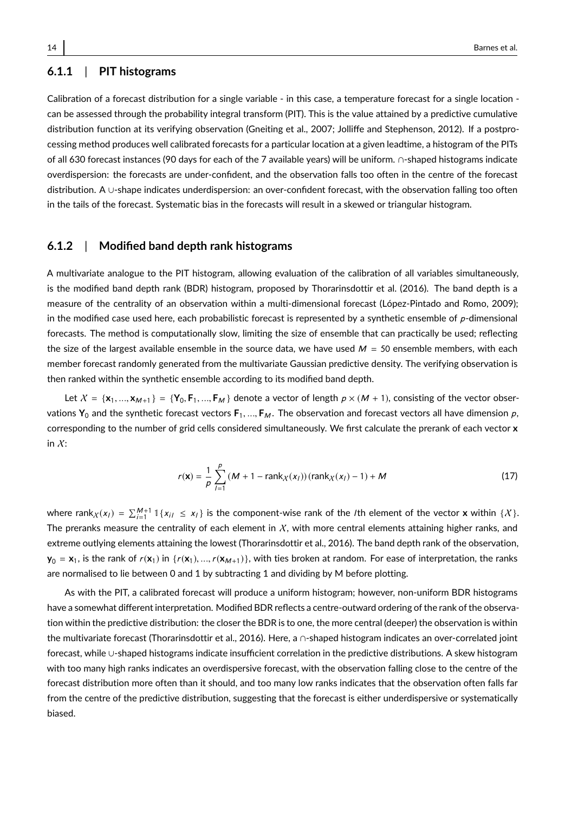## **6.1.1** | **PIT histograms**

Calibration of a forecast distribution for a single variable - in this case, a temperature forecast for a single location can be assessed through the probability integral transform (PIT). This is the value attained by a predictive cumulative distribution function at its verifying observation (Gneiting et al., 2007; Jolliffe and Stephenson, 2012). If a postprocessing method produces well calibrated forecasts for a particular location at a given leadtime, a histogram of the PITs of all 630 forecast instances (90 days for each of the 7 available years) will be uniform. ∩-shaped histograms indicate overdispersion: the forecasts are under-confident, and the observation falls too often in the centre of the forecast distribution. A ∪-shape indicates underdispersion: an over-confident forecast, with the observation falling too often in the tails of the forecast. Systematic bias in the forecasts will result in a skewed or triangular histogram.

## **6.1.2** | **Modified band depth rank histograms**

A multivariate analogue to the PIT histogram, allowing evaluation of the calibration of all variables simultaneously, is the modified band depth rank (BDR) histogram, proposed by Thorarinsdottir et al. (2016). The band depth is a measure of the centrality of an observation within a multi-dimensional forecast (López-Pintado and Romo, 2009); in the modified case used here, each probabilistic forecast is represented by a synthetic ensemble of  $p$ -dimensional forecasts. The method is computationally slow, limiting the size of ensemble that can practically be used; reflecting the size of the largest available ensemble in the source data, we have used  $M = 50$  ensemble members, with each member forecast randomly generated from the multivariate Gaussian predictive density. The verifying observation is then ranked within the synthetic ensemble according to its modified band depth.

Let  $X = \{x_1, ..., x_{M+1}\} = \{Y_0, F_1, ..., F_M\}$  denote a vector of length  $p \times (M + 1)$ , consisting of the vector observations  $Y_0$  and the synthetic forecast vectors  $F_1, ..., F_M$ . The observation and forecast vectors all have dimension  $p$ , corresponding to the number of grid cells considered simultaneously. We first calculate the prerank of each vector **x** in  $\chi$ :

$$
r(\mathbf{x}) = \frac{1}{\rho} \sum_{l=1}^{P} (M + 1 - \text{rank}_{\chi}(x_l)) (\text{rank}_{\chi}(x_l) - 1) + M
$$
 (17)

where rank $\chi(x_l) = \sum_{i=1}^{M+1} 1\{x_{il} \le x_l\}$  is the component-wise rank of the *I*th element of the vector **x** within  $\{X\}$ . The preranks measure the centrality of each element in  $X$ , with more central elements attaining higher ranks, and extreme outlying elements attaining the lowest (Thorarinsdottir et al., 2016). The band depth rank of the observation,  $y_0 = x_1$ , is the rank of  $r(x_1)$  in  $\{r(x_1), ..., r(x_{M+1})\}$ , with ties broken at random. For ease of interpretation, the ranks are normalised to lie between 0 and 1 by subtracting 1 and dividing by M before plotting.

As with the PIT, a calibrated forecast will produce a uniform histogram; however, non-uniform BDR histograms have a somewhat different interpretation. Modified BDR reflects a centre-outward ordering of the rank of the observation within the predictive distribution: the closer the BDR is to one, the more central (deeper) the observation is within the multivariate forecast (Thorarinsdottir et al., 2016). Here, a ∩-shaped histogram indicates an over-correlated joint forecast, while ∪-shaped histograms indicate insufficient correlation in the predictive distributions. A skew histogram with too many high ranks indicates an overdispersive forecast, with the observation falling close to the centre of the forecast distribution more often than it should, and too many low ranks indicates that the observation often falls far from the centre of the predictive distribution, suggesting that the forecast is either underdispersive or systematically biased.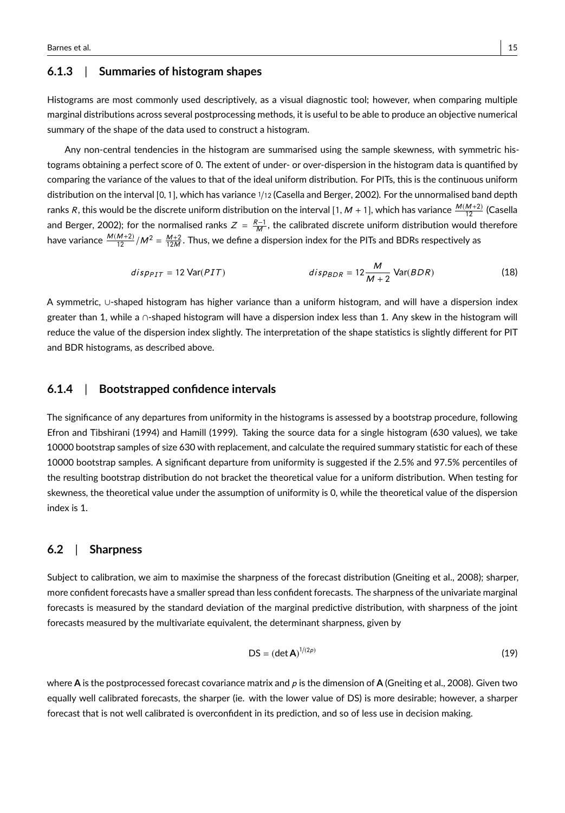## **6.1.3** | **Summaries of histogram shapes**

Histograms are most commonly used descriptively, as a visual diagnostic tool; however, when comparing multiple marginal distributions across several postprocessing methods, it is useful to be able to produce an objective numerical summary of the shape of the data used to construct a histogram.

Any non-central tendencies in the histogram are summarised using the sample skewness, with symmetric histograms obtaining a perfect score of 0. The extent of under- or over-dispersion in the histogram data is quantified by comparing the variance of the values to that of the ideal uniform distribution. For PITs, this is the continuous uniform distribution on the interval [0, <sup>1</sup>], which has variance <sup>1</sup>/<sup>12</sup> (Casella and Berger, 2002). For the unnormalised band depth ranks R, this would be the discrete uniform distribution on the interval  $[1, M + 1]$ , which has variance  $\frac{M(M+2)}{12}$  (Casella and Berger, 2002); for the normalised ranks  $Z = \frac{R-1}{M}$ , the calibrated discrete uniform distribution would therefore have variance  $\frac{M(M+2)}{12}/M^2=\frac{M+2}{12M}$ . Thus, we define a dispersion index for the PITs and BDRs respectively as

$$
disp_{PIT} = 12 \text{Var}(PIT) \qquad \qquad disp_{BDR} = 12 \frac{M}{M+2} \text{Var}(BDR) \tag{18}
$$

A symmetric, ∪-shaped histogram has higher variance than a uniform histogram, and will have a dispersion index greater than 1, while a ∩-shaped histogram will have a dispersion index less than 1. Any skew in the histogram will reduce the value of the dispersion index slightly. The interpretation of the shape statistics is slightly different for PIT and BDR histograms, as described above.

#### **6.1.4** | **Bootstrapped confidence intervals**

The significance of any departures from uniformity in the histograms is assessed by a bootstrap procedure, following Efron and Tibshirani (1994) and Hamill (1999). Taking the source data for a single histogram (630 values), we take 10000 bootstrap samples of size 630 with replacement, and calculate the required summary statistic for each of these 10000 bootstrap samples. A significant departure from uniformity is suggested if the 2.5% and 97.5% percentiles of the resulting bootstrap distribution do not bracket the theoretical value for a uniform distribution. When testing for skewness, the theoretical value under the assumption of uniformity is 0, while the theoretical value of the dispersion index is 1.

#### **6.2** | **Sharpness**

Subject to calibration, we aim to maximise the sharpness of the forecast distribution (Gneiting et al., 2008); sharper, more confident forecasts have a smaller spread than less confident forecasts. The sharpness of the univariate marginal forecasts is measured by the standard deviation of the marginal predictive distribution, with sharpness of the joint forecasts measured by the multivariate equivalent, the determinant sharpness, given by

$$
DS = (\det A)^{1/(2\rho)} \tag{19}
$$

where **A** is the postprocessed forecast covariance matrix and p is the dimension of **A** (Gneiting et al., 2008). Given two equally well calibrated forecasts, the sharper (ie. with the lower value of DS) is more desirable; however, a sharper forecast that is not well calibrated is overconfident in its prediction, and so of less use in decision making.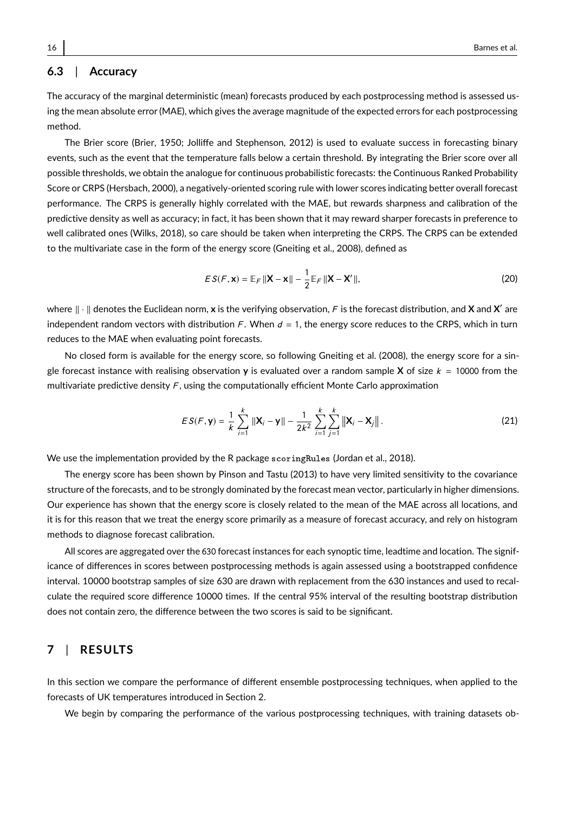## **6.3** | **Accuracy**

The accuracy of the marginal deterministic (mean) forecasts produced by each postprocessing method is assessed using the mean absolute error (MAE), which gives the average magnitude of the expected errors for each postprocessing method.

The Brier score (Brier, 1950; Jolliffe and Stephenson, 2012) is used to evaluate success in forecasting binary events, such as the event that the temperature falls below a certain threshold. By integrating the Brier score over all possible thresholds, we obtain the analogue for continuous probabilistic forecasts: the Continuous Ranked Probability Score or CRPS (Hersbach, 2000), a negatively-oriented scoring rule with lower scores indicating better overall forecast performance. The CRPS is generally highly correlated with the MAE, but rewards sharpness and calibration of the predictive density as well as accuracy; in fact, it has been shown that it may reward sharper forecasts in preference to well calibrated ones (Wilks, 2018), so care should be taken when interpreting the CRPS. The CRPS can be extended to the multivariate case in the form of the energy score (Gneiting et al., 2008), defined as

$$
ES(F, \mathbf{x}) = \mathbb{E}_F \left\| \mathbf{X} - \mathbf{x} \right\| - \frac{1}{2} \mathbb{E}_F \left\| \mathbf{X} - \mathbf{X}' \right\|,\tag{20}
$$

where  $\|\cdot\|$  denotes the Euclidean norm, **x** is the verifying observation,  $F$  is the forecast distribution, and **X** and **X**' are independent random vectors with distribution F. When  $d = 1$ , the energy score reduces to the CRPS, which in turn reduces to the MAE when evaluating point forecasts.

No closed form is available for the energy score, so following Gneiting et al. (2008), the energy score for a single forecast instance with realising observation **y** is evaluated over a random sample **X** of size  $k = 10000$  from the multivariate predictive density  $F$ , using the computationally efficient Monte Carlo approximation

$$
ES(F, \mathbf{y}) = \frac{1}{k} \sum_{i=1}^{k} ||\mathbf{X}_i - \mathbf{y}|| - \frac{1}{2k^2} \sum_{i=1}^{k} \sum_{j=1}^{k} ||\mathbf{X}_i - \mathbf{X}_j||.
$$
 (21)

We use the implementation provided by the R package scoring Rules (Jordan et al., 2018).

The energy score has been shown by Pinson and Tastu (2013) to have very limited sensitivity to the covariance structure of the forecasts, and to be strongly dominated by the forecast mean vector, particularly in higher dimensions. Our experience has shown that the energy score is closely related to the mean of the MAE across all locations, and it is for this reason that we treat the energy score primarily as a measure of forecast accuracy, and rely on histogram methods to diagnose forecast calibration.

All scores are aggregated over the 630 forecast instances for each synoptic time, leadtime and location. The significance of differences in scores between postprocessing methods is again assessed using a bootstrapped confidence interval. 10000 bootstrap samples of size 630 are drawn with replacement from the 630 instances and used to recalculate the required score difference 10000 times. If the central 95% interval of the resulting bootstrap distribution does not contain zero, the difference between the two scores is said to be significant.

# **7** | **RESULTS**

In this section we compare the performance of different ensemble postprocessing techniques, when applied to the forecasts of UK temperatures introduced in Section 2.

We begin by comparing the performance of the various postprocessing techniques, with training datasets ob-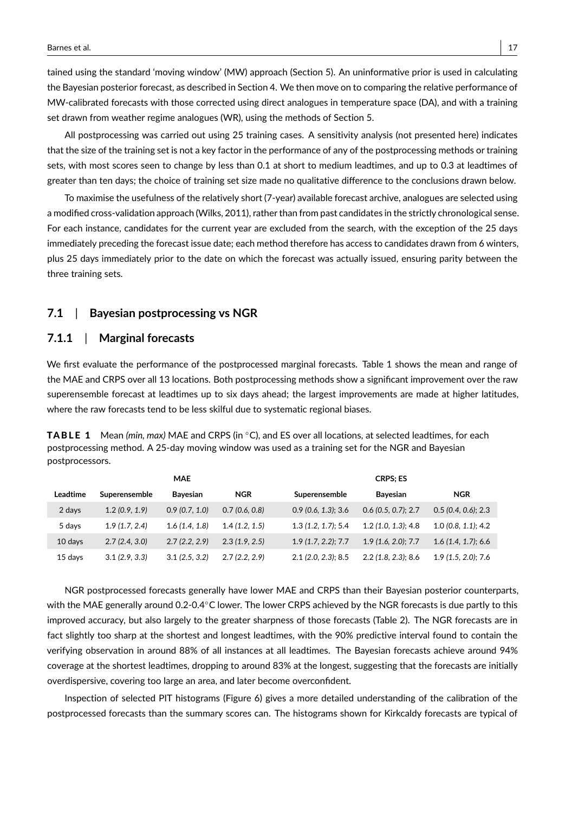tained using the standard 'moving window' (MW) approach (Section 5). An uninformative prior is used in calculating the Bayesian posterior forecast, as described in Section 4. We then move on to comparing the relative performance of MW-calibrated forecasts with those corrected using direct analogues in temperature space (DA), and with a training set drawn from weather regime analogues (WR), using the methods of Section 5.

All postprocessing was carried out using 25 training cases. A sensitivity analysis (not presented here) indicates that the size of the training set is not a key factor in the performance of any of the postprocessing methods or training sets, with most scores seen to change by less than 0.1 at short to medium leadtimes, and up to 0.3 at leadtimes of greater than ten days; the choice of training set size made no qualitative difference to the conclusions drawn below.

To maximise the usefulness of the relatively short (7-year) available forecast archive, analogues are selected using a modified cross-validation approach (Wilks, 2011), rather than from past candidates in the strictly chronological sense. For each instance, candidates for the current year are excluded from the search, with the exception of the 25 days immediately preceding the forecast issue date; each method therefore has access to candidates drawn from 6 winters, plus 25 days immediately prior to the date on which the forecast was actually issued, ensuring parity between the three training sets.

## **7.1** | **Bayesian postprocessing vs NGR**

### **7.1.1** | **Marginal forecasts**

We first evaluate the performance of the postprocessed marginal forecasts. Table 1 shows the mean and range of the MAE and CRPS over all 13 locations. Both postprocessing methods show a significant improvement over the raw superensemble forecast at leadtimes up to six days ahead; the largest improvements are made at higher latitudes, where the raw forecasts tend to be less skilful due to systematic regional biases.

| and the second contract the contract of the contract of the contract of the contract of the contract of the contract of the contract of the contract of the contract of the contract of the contract of the contract of the co | $\sum$ |                 | 100 |
|--------------------------------------------------------------------------------------------------------------------------------------------------------------------------------------------------------------------------------|--------|-----------------|-----|
| <b>MAE</b>                                                                                                                                                                                                                     |        | <b>CRPS: ES</b> |     |
| postprocessors.                                                                                                                                                                                                                |        |                 |     |
| postprocessing method. A 25-day moving window was used as a training set for the NGR and Bayesian i                                                                                                                            |        |                 |     |

**TABLE 1** Mean *(min, max)* MAE and CRPS (in ℃), and ES over all locations, at selected leadtimes, for each postprocessing method. A 25-day moving window was used as a training set for the NGR and Bayesian

|          |               | MAE           |               |                       | CRPS: ES           |                    |
|----------|---------------|---------------|---------------|-----------------------|--------------------|--------------------|
| Leadtime | Superensemble | Bayesian      | <b>NGR</b>    | Superensemble         | <b>Bavesian</b>    | <b>NGR</b>         |
| 2 days   | 1.2(0.9, 1.9) | 0.9(0.7, 1.0) | 0.7(0.6, 0.8) | 0.9(0.6, 1.3); 3.6    | 0.6(0.5, 0.7); 2.7 | 0.5(0.4, 0.6); 2.3 |
| 5 days   | 1.9(1.7, 2.4) | 1.6(1.4, 1.8) | 1.4(1.2, 1.5) | 1.3(1.2, 1.7); 5.4    | 1.2(1.0, 1.3); 4.8 | 1.0(0.8, 1.1); 4.2 |
| 10 days  | 2.7(2.4, 3.0) | 2.7(2.2, 2.9) | 2.3(1.9, 2.5) | 1.9(1.7, 2.2); 7.7    | 1.9(1.6, 2.0); 7.7 | 1.6(1.4, 1.7); 6.6 |
| 15 days  | 3.1(2.9, 3.3) | 3.1(2.5, 3.2) | 2.7(2.2, 2.9) | $2.1$ (2.0, 2.3); 8.5 | 2.2(1.8, 2.3); 8.6 | 1.9(1.5, 2.0); 7.6 |

NGR postprocessed forecasts generally have lower MAE and CRPS than their Bayesian posterior counterparts, with the MAE generally around 0.2-0.4◦C lower. The lower CRPS achieved by the NGR forecasts is due partly to this improved accuracy, but also largely to the greater sharpness of those forecasts (Table 2). The NGR forecasts are in fact slightly too sharp at the shortest and longest leadtimes, with the 90% predictive interval found to contain the verifying observation in around 88% of all instances at all leadtimes. The Bayesian forecasts achieve around 94% coverage at the shortest leadtimes, dropping to around 83% at the longest, suggesting that the forecasts are initially overdispersive, covering too large an area, and later become overconfident.

Inspection of selected PIT histograms (Figure 6) gives a more detailed understanding of the calibration of the postprocessed forecasts than the summary scores can. The histograms shown for Kirkcaldy forecasts are typical of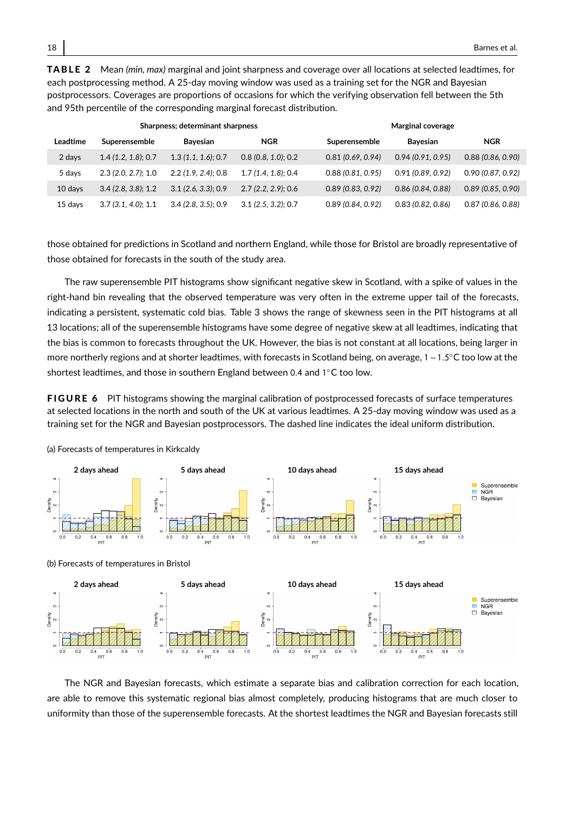TABLE 2 Mean *(min, max)* marginal and joint sharpness and coverage over all locations at selected leadtimes, for each postprocessing method. A 25-day moving window was used as a training set for the NGR and Bayesian postprocessors. Coverages are proportions of occasions for which the verifying observation fell between the 5th and 95th percentile of the corresponding marginal forecast distribution.

| Sharpness; determinant sharpness |                       |                       |                       | <b>Marginal coverage</b> |                  |                  |  |
|----------------------------------|-----------------------|-----------------------|-----------------------|--------------------------|------------------|------------------|--|
| Leadtime                         | Superensemble         | Bayesian              | <b>NGR</b>            | Superensemble            | <b>Bavesian</b>  | <b>NGR</b>       |  |
| 2 days                           | $1.4(1.2, 1.8)$ ; 0.7 | $1.3(1.1, 1.6)$ ; 0.7 | 0.8(0.8, 1.0); 0.2    | 0.81(0.69, 0.94)         | 0.94(0.91, 0.95) | 0.88(0.86, 0.90) |  |
| 5 days                           | 2.3(2.0, 2.7); 1.0    | 2.2(1.9, 2.4); 0.8    | 1.7(1.4, 1.8); 0.4    | 0.88(0.81, 0.95)         | 0.91(0.89, 0.92) | 0.90(0.87, 0.92) |  |
| 10 days                          | 3.4(2.8, 3.8); 1.2    | $3.1$ (2.6, 3.3); 0.9 | $2.7(2.2, 2.9)$ ; 0.6 | 0.89(0.83, 0.92)         | 0.86(0.84, 0.88) | 0.89(0.85, 0.90) |  |
| 15 days                          | 3.7(3.1, 4.0); 1.1    | 3.4(2.8, 3.5); 0.9    | 3.1(2.5, 3.2); 0.7    | 0.89(0.84, 0.92)         | 0.83(0.82, 0.86) | 0.87(0.86, 0.88) |  |

those obtained for predictions in Scotland and northern England, while those for Bristol are broadly representative of those obtained for forecasts in the south of the study area.

The raw superensemble PIT histograms show significant negative skew in Scotland, with a spike of values in the right-hand bin revealing that the observed temperature was very often in the extreme upper tail of the forecasts, indicating a persistent, systematic cold bias. Table 3 shows the range of skewness seen in the PIT histograms at all 13 locations; all of the superensemble histograms have some degree of negative skew at all leadtimes, indicating that the bias is common to forecasts throughout the UK. However, the bias is not constant at all locations, being larger in more northerly regions and at shorter leadtimes, with forecasts in Scotland being, on average, 1 – 1.5°C too low at the shortest leadtimes, and those in southern England between 0.4 and 1°C too low.<br>←

FIGURE 6 PIT histograms showing the marginal calibration of postprocessed forecasts of surface temperatures at selected locations in the north and south of the UK at various leadtimes. A 25-day moving window was used as a training set for the NGR and Bayesian postprocessors. The dashed line indicates the ideal uniform distribution.



(a) Forecasts of temperatures in Kirkcaldy

The NGR and Bayesian forecasts, which estimate a separate bias and calibration correction for each location, are able to remove this systematic regional bias almost completely, producing histograms that are much closer to uniformity than those of the superensemble forecasts. At the shortest leadtimes the NGR and Bayesian forecasts still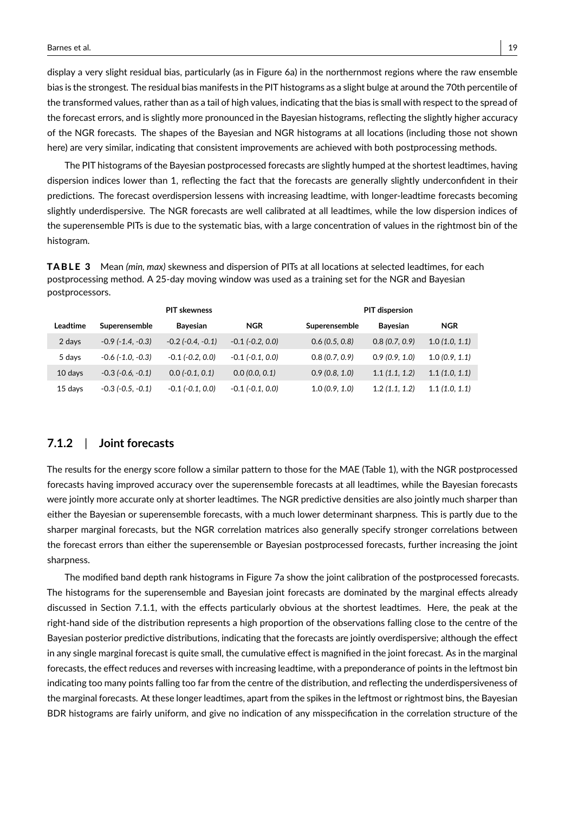display a very slight residual bias, particularly (as in Figure 6a) in the northernmost regions where the raw ensemble bias is the strongest. The residual bias manifests in the PIT histograms as a slight bulge at around the 70th percentile of the transformed values, rather than as a tail of high values, indicating that the bias is small with respect to the spread of the forecast errors, and is slightly more pronounced in the Bayesian histograms, reflecting the slightly higher accuracy of the NGR forecasts. The shapes of the Bayesian and NGR histograms at all locations (including those not shown here) are very similar, indicating that consistent improvements are achieved with both postprocessing methods.

The PIT histograms of the Bayesian postprocessed forecasts are slightly humped at the shortest leadtimes, having dispersion indices lower than 1, reflecting the fact that the forecasts are generally slightly underconfident in their predictions. The forecast overdispersion lessens with increasing leadtime, with longer-leadtime forecasts becoming slightly underdispersive. The NGR forecasts are well calibrated at all leadtimes, while the low dispersion indices of the superensemble PITs is due to the systematic bias, with a large concentration of values in the rightmost bin of the histogram.

| <b>PIT</b> skewness |                            |                            |                      | <b>PIT</b> dispersion |                 |               |  |
|---------------------|----------------------------|----------------------------|----------------------|-----------------------|-----------------|---------------|--|
| Leadtime            | Superensemble              | Bayesian                   | <b>NGR</b>           | Superensemble         | <b>Bavesian</b> | <b>NGR</b>    |  |
| 2 days              | $-0.9$ ( $-1.4$ , $-0.3$ ) | $-0.2$ ( $-0.4$ , $-0.1$ ) | $-0.1$ $(-0.2, 0.0)$ | 0.6(0.5, 0.8)         | 0.8(0.7, 0.9)   | 1.0(1.0, 1.1) |  |
| 5 days              | $-0.6$ ( $-1.0, -0.3$ )    | $-0.1$ $(-0.2, 0.0)$       | $-0.1$ $(-0.1, 0.0)$ | 0.8(0.7, 0.9)         | 0.9(0.9, 1.0)   | 1.0(0.9, 1.1) |  |
| 10 days             | $-0.3$ ( $-0.6, -0.1$ )    | $0.0 (-0.1, 0.1)$          | 0.0(0.0, 0.1)        | 0.9(0.8, 1.0)         | 1.1(1.1, 1.2)   | 1.1(1.0, 1.1) |  |
| 15 days             | $-0.3$ ( $-0.5, -0.1$ )    | $-0.1$ $(-0.1, 0.0)$       | $-0.1$ $(-0.1, 0.0)$ | 1.0(0.9, 1.0)         | 1.2(1.1, 1.2)   | 1.1(1.0, 1.1) |  |

TABLE 3 Mean (min, max) skewness and dispersion of PITs at all locations at selected leadtimes, for each postprocessing method. A 25-day moving window was used as a training set for the NGR and Bayesian postprocessors.

#### **7.1.2** | **Joint forecasts**

The results for the energy score follow a similar pattern to those for the MAE (Table 1), with the NGR postprocessed forecasts having improved accuracy over the superensemble forecasts at all leadtimes, while the Bayesian forecasts were jointly more accurate only at shorter leadtimes. The NGR predictive densities are also jointly much sharper than either the Bayesian or superensemble forecasts, with a much lower determinant sharpness. This is partly due to the sharper marginal forecasts, but the NGR correlation matrices also generally specify stronger correlations between the forecast errors than either the superensemble or Bayesian postprocessed forecasts, further increasing the joint sharpness.

The modified band depth rank histograms in Figure 7a show the joint calibration of the postprocessed forecasts. The histograms for the superensemble and Bayesian joint forecasts are dominated by the marginal effects already discussed in Section 7.1.1, with the effects particularly obvious at the shortest leadtimes. Here, the peak at the right-hand side of the distribution represents a high proportion of the observations falling close to the centre of the Bayesian posterior predictive distributions, indicating that the forecasts are jointly overdispersive; although the effect in any single marginal forecast is quite small, the cumulative effect is magnified in the joint forecast. As in the marginal forecasts, the effect reduces and reverses with increasing leadtime, with a preponderance of points in the leftmost bin indicating too many points falling too far from the centre of the distribution, and reflecting the underdispersiveness of the marginal forecasts. At these longer leadtimes, apart from the spikes in the leftmost or rightmost bins, the Bayesian BDR histograms are fairly uniform, and give no indication of any misspecification in the correlation structure of the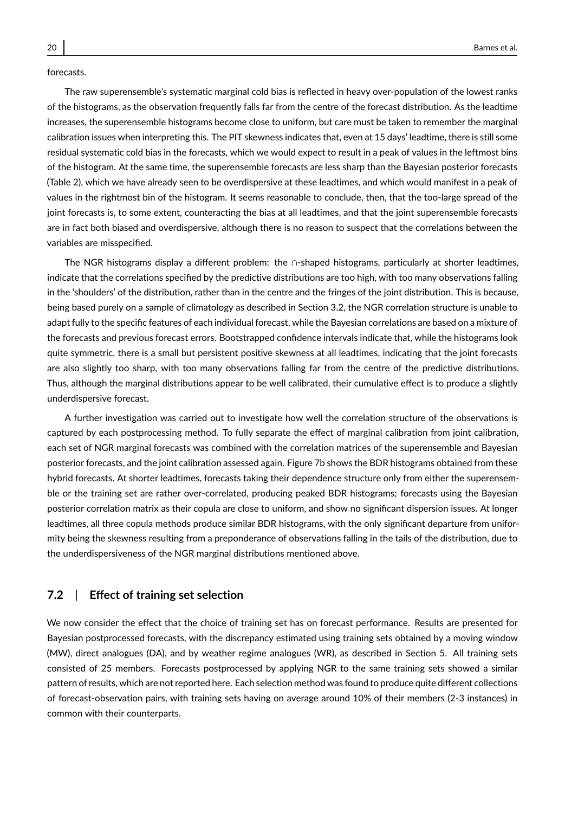#### forecasts.

The raw superensemble's systematic marginal cold bias is reflected in heavy over-population of the lowest ranks of the histograms, as the observation frequently falls far from the centre of the forecast distribution. As the leadtime increases, the superensemble histograms become close to uniform, but care must be taken to remember the marginal calibration issues when interpreting this. The PIT skewness indicates that, even at 15 days' leadtime, there is still some residual systematic cold bias in the forecasts, which we would expect to result in a peak of values in the leftmost bins of the histogram. At the same time, the superensemble forecasts are less sharp than the Bayesian posterior forecasts (Table 2), which we have already seen to be overdispersive at these leadtimes, and which would manifest in a peak of values in the rightmost bin of the histogram. It seems reasonable to conclude, then, that the too-large spread of the joint forecasts is, to some extent, counteracting the bias at all leadtimes, and that the joint superensemble forecasts are in fact both biased and overdispersive, although there is no reason to suspect that the correlations between the variables are misspecified.

The NGR histograms display a different problem: the ∩-shaped histograms, particularly at shorter leadtimes, indicate that the correlations specified by the predictive distributions are too high, with too many observations falling in the 'shoulders' of the distribution, rather than in the centre and the fringes of the joint distribution. This is because, being based purely on a sample of climatology as described in Section 3.2, the NGR correlation structure is unable to adapt fully to the specific features of each individual forecast, while the Bayesian correlations are based on a mixture of the forecasts and previous forecast errors. Bootstrapped confidence intervals indicate that, while the histograms look quite symmetric, there is a small but persistent positive skewness at all leadtimes, indicating that the joint forecasts are also slightly too sharp, with too many observations falling far from the centre of the predictive distributions. Thus, although the marginal distributions appear to be well calibrated, their cumulative effect is to produce a slightly underdispersive forecast.

A further investigation was carried out to investigate how well the correlation structure of the observations is captured by each postprocessing method. To fully separate the effect of marginal calibration from joint calibration, each set of NGR marginal forecasts was combined with the correlation matrices of the superensemble and Bayesian posterior forecasts, and the joint calibration assessed again. Figure 7b shows the BDR histograms obtained from these hybrid forecasts. At shorter leadtimes, forecasts taking their dependence structure only from either the superensemble or the training set are rather over-correlated, producing peaked BDR histograms; forecasts using the Bayesian posterior correlation matrix as their copula are close to uniform, and show no significant dispersion issues. At longer leadtimes, all three copula methods produce similar BDR histograms, with the only significant departure from uniformity being the skewness resulting from a preponderance of observations falling in the tails of the distribution, due to the underdispersiveness of the NGR marginal distributions mentioned above.

## **7.2** | **Effect of training set selection**

We now consider the effect that the choice of training set has on forecast performance. Results are presented for Bayesian postprocessed forecasts, with the discrepancy estimated using training sets obtained by a moving window (MW), direct analogues (DA), and by weather regime analogues (WR), as described in Section 5. All training sets consisted of 25 members. Forecasts postprocessed by applying NGR to the same training sets showed a similar pattern of results, which are not reported here. Each selection method was found to produce quite different collections of forecast-observation pairs, with training sets having on average around 10% of their members (2-3 instances) in common with their counterparts.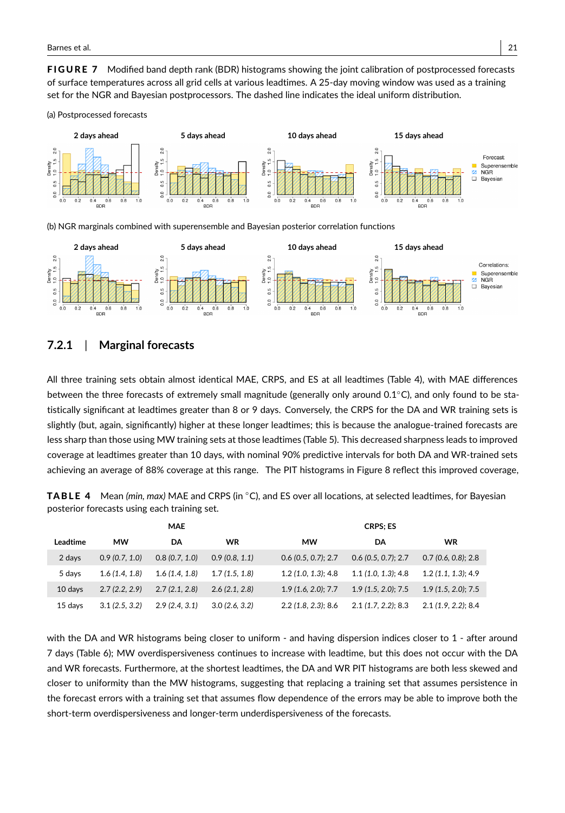FIGURE 7 Modified band depth rank (BDR) histograms showing the joint calibration of postprocessed forecasts of surface temperatures across all grid cells at various leadtimes. A 25-day moving window was used as a training set for the NGR and Bayesian postprocessors. The dashed line indicates the ideal uniform distribution.

#### (a) Postprocessed forecasts



(b) NGR marginals combined with superensemble and Bayesian posterior correlation functions



#### **7.2.1** | **Marginal forecasts**

All three training sets obtain almost identical MAE, CRPS, and ES at all leadtimes (Table 4), with MAE differences between the three forecasts of extremely small magnitude (generally only around 0.1◦C), and only found to be statistically significant at leadtimes greater than 8 or 9 days. Conversely, the CRPS for the DA and WR training sets is slightly (but, again, significantly) higher at these longer leadtimes; this is because the analogue-trained forecasts are less sharp than those using MW training sets at those leadtimes (Table 5). This decreased sharpness leads to improved coverage at leadtimes greater than 10 days, with nominal 90% predictive intervals for both DA and WR-trained sets achieving an average of 88% coverage at this range. The PIT histograms in Figure 8 reflect this improved coverage,

TABLE 4 Mean *(min, max)* MAE and CRPS (in ℃), and ES over all locations, at selected leadtimes, for Bayesian posterior forecasts using each training set.

| <b>MAE</b> |               |               |               |                    | <b>CRPS: ES</b>    |                    |  |  |
|------------|---------------|---------------|---------------|--------------------|--------------------|--------------------|--|--|
| Leadtime   | <b>MW</b>     | DA            | <b>WR</b>     | <b>MW</b>          | DA                 | <b>WR</b>          |  |  |
| 2 days     | 0.9(0.7, 1.0) | 0.8(0.7, 1.0) | 0.9(0.8, 1.1) | 0.6(0.5, 0.7); 2.7 | 0.6(0.5, 0.7); 2.7 | 0.7(0.6, 0.8); 2.8 |  |  |
| 5 days     | 1.6(1.4, 1.8) | 1.6(1.4, 1.8) | 1.7(1.5, 1.8) | 1.2(1.0, 1.3); 4.8 | 1.1(1.0, 1.3); 4.8 | 1.2(1.1, 1.3); 4.9 |  |  |
| 10 days    | 2.7(2.2, 2.9) | 2.7(2.1, 2.8) | 2.6(2.1, 2.8) | 1.9(1.6, 2.0); 7.7 | 1.9(1.5, 2.0); 7.5 | 1.9(1.5, 2.0); 7.5 |  |  |
| 15 days    | 3.1(2.5, 3.2) | 2.9(2.4, 3.1) | 3.0(2.6, 3.2) | 2.2(1.8, 2.3); 8.6 | 2.1(1.7, 2.2); 8.3 | 2.1(1.9, 2.2); 8.4 |  |  |

with the DA and WR histograms being closer to uniform - and having dispersion indices closer to 1 - after around 7 days (Table 6); MW overdispersiveness continues to increase with leadtime, but this does not occur with the DA and WR forecasts. Furthermore, at the shortest leadtimes, the DA and WR PIT histograms are both less skewed and closer to uniformity than the MW histograms, suggesting that replacing a training set that assumes persistence in the forecast errors with a training set that assumes flow dependence of the errors may be able to improve both the short-term overdispersiveness and longer-term underdispersiveness of the forecasts.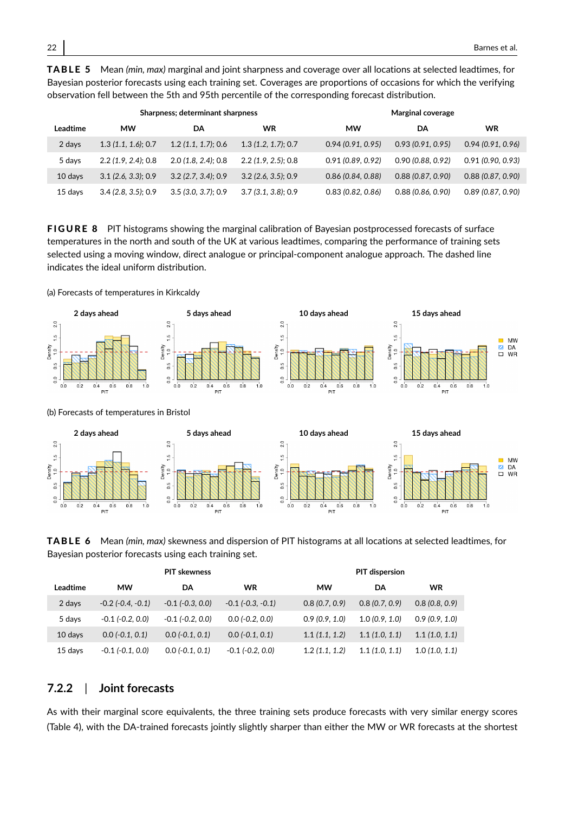| Sharpness; determinant sharpness |                       |                       |                       |                  | <b>Marginal coverage</b> |                  |  |  |
|----------------------------------|-----------------------|-----------------------|-----------------------|------------------|--------------------------|------------------|--|--|
| Leadtime                         | мw                    | DA                    | <b>WR</b>             | мw               | DA                       | WR               |  |  |
| 2 days                           | $1.3(1.1, 1.6)$ ; 0.7 | 1.2(1.1, 1.7); 0.6    | 1.3(1.2, 1.7); 0.7    | 0.94(0.91, 0.95) | 0.93(0.91, 0.95)         | 0.94(0.91, 0.96) |  |  |
| 5 days                           | 2.2(1.9, 2.4): 0.8    | 2.0(1.8, 2.4); 0.8    | 2.2(1.9, 2.5); 0.8    | 0.91(0.89, 0.92) | 0.90(0.88, 0.92)         | 0.91(0.90, 0.93) |  |  |
| 10 days                          | 3.1(2.6, 3.3); 0.9    | $3.2(2.7, 3.4)$ ; 0.9 | $3.2$ (2.6, 3.5); 0.9 | 0.86(0.84, 0.88) | 0.88(0.87, 0.90)         | 0.88(0.87, 0.90) |  |  |
| 15 days                          | 3.4(2.8, 3.5); 0.9    | 3.5(3.0, 3.7); 0.9    | 3.7(3.1, 3.8); 0.9    | 0.83(0.82, 0.86) | 0.88(0.86, 0.90)         | 0.89(0.87, 0.90) |  |  |

TA B L E 5 Mean *(min, max)* marginal and joint sharpness and coverage over all locations at selected leadtimes, for Bayesian posterior forecasts using each training set. Coverages are proportions of occasions for which the verifying observation fell between the 5th and 95th percentile of the corresponding forecast distribution.

FIGURE 8 PIT histograms showing the marginal calibration of Bayesian postprocessed forecasts of surface temperatures in the north and south of the UK at various leadtimes, comparing the performance of training sets selected using a moving window, direct analogue or principal-component analogue approach. The dashed line indicates the ideal uniform distribution.

(a) Forecasts of temperatures in Kirkcaldy



(b) Forecasts of temperatures in Bristol



TA B L E 6 Mean *(min, max)* skewness and dispersion of PIT histograms at all locations at selected leadtimes, for Bayesian posterior forecasts using each training set.

|          | <b>PIT</b> skewness        |                      |                            |               | <b>PIT</b> dispersion |               |  |  |
|----------|----------------------------|----------------------|----------------------------|---------------|-----------------------|---------------|--|--|
| Leadtime | МW                         | DA                   | <b>WR</b>                  | <b>MW</b>     | DA                    | <b>WR</b>     |  |  |
| 2 days   | $-0.2$ ( $-0.4$ , $-0.1$ ) | $-0.1$ $(-0.3, 0.0)$ | $-0.1$ ( $-0.3$ , $-0.1$ ) | 0.8(0.7, 0.9) | 0.8(0.7, 0.9)         | 0.8(0.8, 0.9) |  |  |
| 5 days   | $-0.1$ $(-0.2, 0.0)$       | $-0.1$ $(-0.2, 0.0)$ | $0.0$ (-0.2, 0.0)          | 0.9(0.9, 1.0) | 1.0(0.9, 1.0)         | 0.9(0.9, 1.0) |  |  |
| 10 days  | $0.0$ (-0.1, 0.1)          | $0.0$ (-0.1, 0.1)    | $0.0$ (-0.1, 0.1)          | 1.1(1.1, 1.2) | 1.1(1.0, 1.1)         | 1.1(1.0, 1.1) |  |  |
| 15 days  | $-0.1$ $(-0.1, 0.0)$       | $0.0$ (-0.1, 0.1)    | $-0.1$ $(-0.2, 0.0)$       | 1.2(1.1, 1.2) | 1.1(1.0, 1.1)         | 1.0(1.0, 1.1) |  |  |

## **7.2.2** | **Joint forecasts**

As with their marginal score equivalents, the three training sets produce forecasts with very similar energy scores (Table 4), with the DA-trained forecasts jointly slightly sharper than either the MW or WR forecasts at the shortest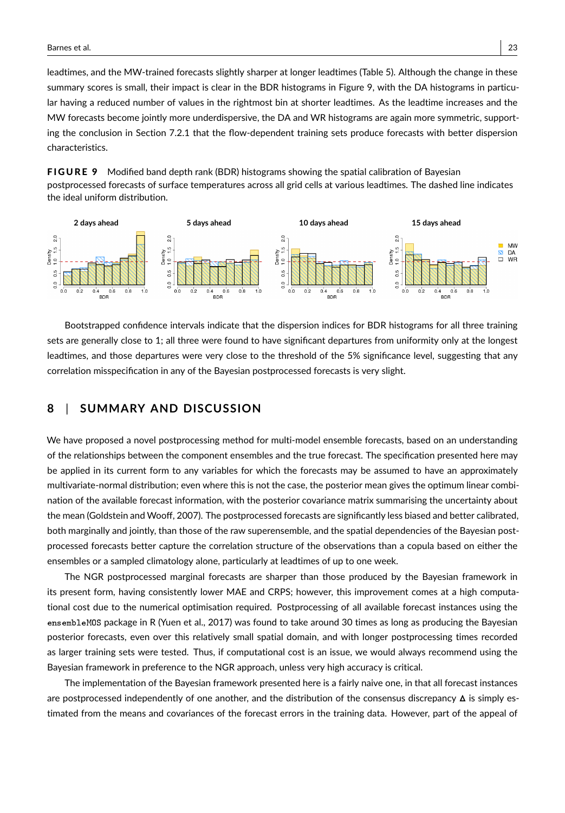leadtimes, and the MW-trained forecasts slightly sharper at longer leadtimes (Table 5). Although the change in these summary scores is small, their impact is clear in the BDR histograms in Figure 9, with the DA histograms in particular having a reduced number of values in the rightmost bin at shorter leadtimes. As the leadtime increases and the MW forecasts become jointly more underdispersive, the DA and WR histograms are again more symmetric, supporting the conclusion in Section 7.2.1 that the flow-dependent training sets produce forecasts with better dispersion characteristics.





Bootstrapped confidence intervals indicate that the dispersion indices for BDR histograms for all three training sets are generally close to 1; all three were found to have significant departures from uniformity only at the longest leadtimes, and those departures were very close to the threshold of the 5% significance level, suggesting that any correlation misspecification in any of the Bayesian postprocessed forecasts is very slight.

## **8** | **SUMMARY AND DISCUSSION**

We have proposed a novel postprocessing method for multi-model ensemble forecasts, based on an understanding of the relationships between the component ensembles and the true forecast. The specification presented here may be applied in its current form to any variables for which the forecasts may be assumed to have an approximately multivariate-normal distribution; even where this is not the case, the posterior mean gives the optimum linear combination of the available forecast information, with the posterior covariance matrix summarising the uncertainty about the mean (Goldstein and Wooff, 2007). The postprocessed forecasts are significantly less biased and better calibrated, both marginally and jointly, than those of the raw superensemble, and the spatial dependencies of the Bayesian postprocessed forecasts better capture the correlation structure of the observations than a copula based on either the ensembles or a sampled climatology alone, particularly at leadtimes of up to one week.

The NGR postprocessed marginal forecasts are sharper than those produced by the Bayesian framework in its present form, having consistently lower MAE and CRPS; however, this improvement comes at a high computational cost due to the numerical optimisation required. Postprocessing of all available forecast instances using the ensembleMOS package in R (Yuen et al., 2017) was found to take around 30 times as long as producing the Bayesian posterior forecasts, even over this relatively small spatial domain, and with longer postprocessing times recorded as larger training sets were tested. Thus, if computational cost is an issue, we would always recommend using the Bayesian framework in preference to the NGR approach, unless very high accuracy is critical.

The implementation of the Bayesian framework presented here is a fairly naive one, in that all forecast instances are postprocessed independently of one another, and the distribution of the consensus discrepancy ∆ is simply estimated from the means and covariances of the forecast errors in the training data. However, part of the appeal of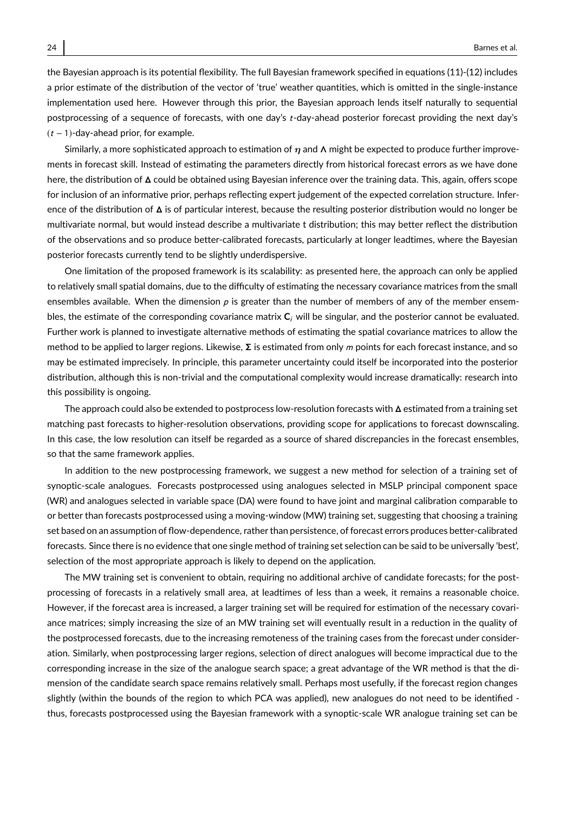the Bayesian approach is its potential flexibility. The full Bayesian framework specified in equations (11)-(12) includes a prior estimate of the distribution of the vector of 'true' weather quantities, which is omitted in the single-instance implementation used here. However through this prior, the Bayesian approach lends itself naturally to sequential postprocessing of a sequence of forecasts, with one day's t-day-ahead posterior forecast providing the next day's  $(t - 1)$ -day-ahead prior, for example.

Similarly, a more sophisticated approach to estimation of  $\eta$  and  $\Lambda$  might be expected to produce further improvements in forecast skill. Instead of estimating the parameters directly from historical forecast errors as we have done here, the distribution of ∆ could be obtained using Bayesian inference over the training data. This, again, offers scope for inclusion of an informative prior, perhaps reflecting expert judgement of the expected correlation structure. Inference of the distribution of ∆ is of particular interest, because the resulting posterior distribution would no longer be multivariate normal, but would instead describe a multivariate t distribution; this may better reflect the distribution of the observations and so produce better-calibrated forecasts, particularly at longer leadtimes, where the Bayesian posterior forecasts currently tend to be slightly underdispersive.

One limitation of the proposed framework is its scalability: as presented here, the approach can only be applied to relatively small spatial domains, due to the difficulty of estimating the necessary covariance matrices from the small ensembles available. When the dimension  $p$  is greater than the number of members of any of the member ensembles, the estimate of the corresponding covariance matrix **C**<sup>i</sup> will be singular, and the posterior cannot be evaluated. Further work is planned to investigate alternative methods of estimating the spatial covariance matrices to allow the method to be applied to larger regions. Likewise,  $\Sigma$  is estimated from only m points for each forecast instance, and so may be estimated imprecisely. In principle, this parameter uncertainty could itself be incorporated into the posterior distribution, although this is non-trivial and the computational complexity would increase dramatically: research into this possibility is ongoing.

The approach could also be extended to postprocess low-resolution forecasts with ∆ estimated from a training set matching past forecasts to higher-resolution observations, providing scope for applications to forecast downscaling. In this case, the low resolution can itself be regarded as a source of shared discrepancies in the forecast ensembles, so that the same framework applies.

In addition to the new postprocessing framework, we suggest a new method for selection of a training set of synoptic-scale analogues. Forecasts postprocessed using analogues selected in MSLP principal component space (WR) and analogues selected in variable space (DA) were found to have joint and marginal calibration comparable to or better than forecasts postprocessed using a moving-window (MW) training set, suggesting that choosing a training set based on an assumption of flow-dependence, rather than persistence, of forecast errors produces better-calibrated forecasts. Since there is no evidence that one single method of training set selection can be said to be universally 'best', selection of the most appropriate approach is likely to depend on the application.

The MW training set is convenient to obtain, requiring no additional archive of candidate forecasts; for the postprocessing of forecasts in a relatively small area, at leadtimes of less than a week, it remains a reasonable choice. However, if the forecast area is increased, a larger training set will be required for estimation of the necessary covariance matrices; simply increasing the size of an MW training set will eventually result in a reduction in the quality of the postprocessed forecasts, due to the increasing remoteness of the training cases from the forecast under consideration. Similarly, when postprocessing larger regions, selection of direct analogues will become impractical due to the corresponding increase in the size of the analogue search space; a great advantage of the WR method is that the dimension of the candidate search space remains relatively small. Perhaps most usefully, if the forecast region changes slightly (within the bounds of the region to which PCA was applied), new analogues do not need to be identified thus, forecasts postprocessed using the Bayesian framework with a synoptic-scale WR analogue training set can be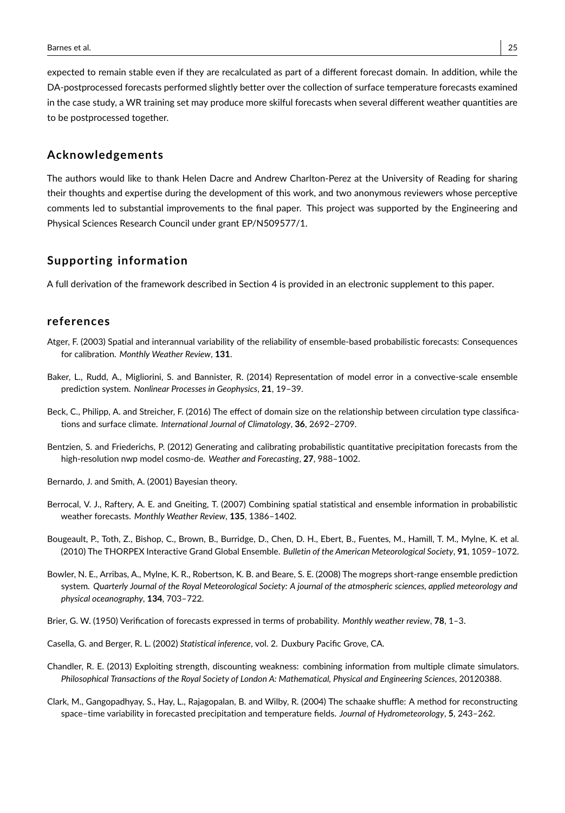expected to remain stable even if they are recalculated as part of a different forecast domain. In addition, while the DA-postprocessed forecasts performed slightly better over the collection of surface temperature forecasts examined in the case study, a WR training set may produce more skilful forecasts when several different weather quantities are to be postprocessed together.

#### **Acknowledgements**

The authors would like to thank Helen Dacre and Andrew Charlton-Perez at the University of Reading for sharing their thoughts and expertise during the development of this work, and two anonymous reviewers whose perceptive comments led to substantial improvements to the final paper. This project was supported by the Engineering and Physical Sciences Research Council under grant EP/N509577/1.

### **Supporting information**

A full derivation of the framework described in Section 4 is provided in an electronic supplement to this paper.

## **references**

- Atger, F. (2003) Spatial and interannual variability of the reliability of ensemble-based probabilistic forecasts: Consequences for calibration. *Monthly Weather Review*, **131**.
- Baker, L., Rudd, A., Migliorini, S. and Bannister, R. (2014) Representation of model error in a convective-scale ensemble prediction system. *Nonlinear Processes in Geophysics*, **21**, 19–39.
- Beck, C., Philipp, A. and Streicher, F. (2016) The effect of domain size on the relationship between circulation type classifications and surface climate. *International Journal of Climatology*, **36**, 2692–2709.
- Bentzien, S. and Friederichs, P. (2012) Generating and calibrating probabilistic quantitative precipitation forecasts from the high-resolution nwp model cosmo-de. *Weather and Forecasting*, **27**, 988–1002.
- Bernardo, J. and Smith, A. (2001) Bayesian theory.
- Berrocal, V. J., Raftery, A. E. and Gneiting, T. (2007) Combining spatial statistical and ensemble information in probabilistic weather forecasts. *Monthly Weather Review*, **135**, 1386–1402.
- Bougeault, P., Toth, Z., Bishop, C., Brown, B., Burridge, D., Chen, D. H., Ebert, B., Fuentes, M., Hamill, T. M., Mylne, K. et al. (2010) The THORPEX Interactive Grand Global Ensemble. *Bulletin of the American Meteorological Society*, **91**, 1059–1072.
- Bowler, N. E., Arribas, A., Mylne, K. R., Robertson, K. B. and Beare, S. E. (2008) The mogreps short-range ensemble prediction system. *Quarterly Journal of the Royal Meteorological Society: A journal of the atmospheric sciences, applied meteorology and physical oceanography*, **134**, 703–722.
- Brier, G. W. (1950) Verification of forecasts expressed in terms of probability. *Monthly weather review*, **78**, 1–3.
- Casella, G. and Berger, R. L. (2002) *Statistical inference*, vol. 2. Duxbury Pacific Grove, CA.
- Chandler, R. E. (2013) Exploiting strength, discounting weakness: combining information from multiple climate simulators. *Philosophical Transactions of the Royal Society of London A: Mathematical, Physical and Engineering Sciences*, 20120388.
- Clark, M., Gangopadhyay, S., Hay, L., Rajagopalan, B. and Wilby, R. (2004) The schaake shuffle: A method for reconstructing space–time variability in forecasted precipitation and temperature fields. *Journal of Hydrometeorology*, **5**, 243–262.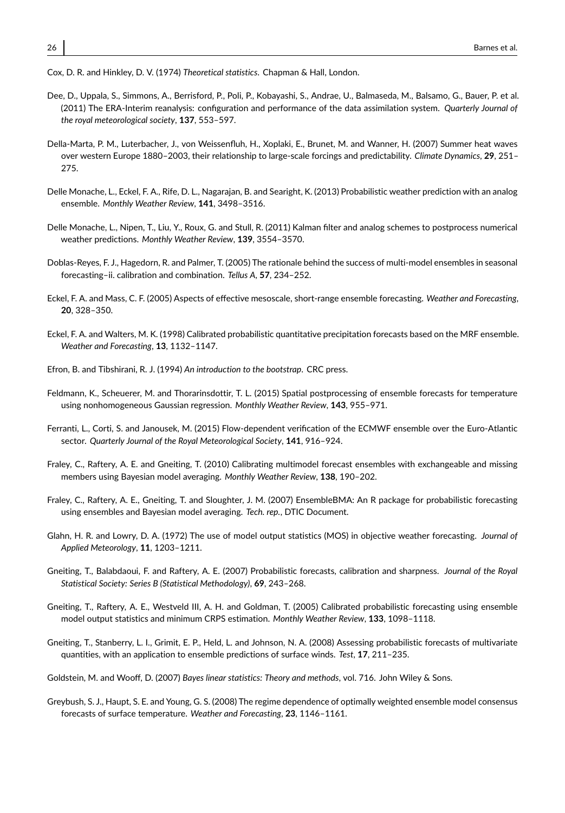Cox, D. R. and Hinkley, D. V. (1974) *Theoretical statistics*. Chapman & Hall, London.

- Dee, D., Uppala, S., Simmons, A., Berrisford, P., Poli, P., Kobayashi, S., Andrae, U., Balmaseda, M., Balsamo, G., Bauer, P. et al. (2011) The ERA-Interim reanalysis: configuration and performance of the data assimilation system. *Quarterly Journal of the royal meteorological society*, **137**, 553–597.
- Della-Marta, P. M., Luterbacher, J., von Weissenfluh, H., Xoplaki, E., Brunet, M. and Wanner, H. (2007) Summer heat waves over western Europe 1880–2003, their relationship to large-scale forcings and predictability. *Climate Dynamics*, **29**, 251– 275.
- Delle Monache, L., Eckel, F. A., Rife, D. L., Nagarajan, B. and Searight, K. (2013) Probabilistic weather prediction with an analog ensemble. *Monthly Weather Review*, **141**, 3498–3516.
- Delle Monache, L., Nipen, T., Liu, Y., Roux, G. and Stull, R. (2011) Kalman filter and analog schemes to postprocess numerical weather predictions. *Monthly Weather Review*, **139**, 3554–3570.
- Doblas-Reyes, F. J., Hagedorn, R. and Palmer, T. (2005) The rationale behind the success of multi-model ensembles in seasonal forecasting–ii. calibration and combination. *Tellus A*, **57**, 234–252.
- Eckel, F. A. and Mass, C. F. (2005) Aspects of effective mesoscale, short-range ensemble forecasting. *Weather and Forecasting*, **20**, 328–350.
- Eckel, F. A. and Walters, M. K. (1998) Calibrated probabilistic quantitative precipitation forecasts based on the MRF ensemble. *Weather and Forecasting*, **13**, 1132–1147.
- Efron, B. and Tibshirani, R. J. (1994) *An introduction to the bootstrap*. CRC press.
- Feldmann, K., Scheuerer, M. and Thorarinsdottir, T. L. (2015) Spatial postprocessing of ensemble forecasts for temperature using nonhomogeneous Gaussian regression. *Monthly Weather Review*, **143**, 955–971.
- Ferranti, L., Corti, S. and Janousek, M. (2015) Flow-dependent verification of the ECMWF ensemble over the Euro-Atlantic sector. *Quarterly Journal of the Royal Meteorological Society*, **141**, 916–924.
- Fraley, C., Raftery, A. E. and Gneiting, T. (2010) Calibrating multimodel forecast ensembles with exchangeable and missing members using Bayesian model averaging. *Monthly Weather Review*, **138**, 190–202.
- Fraley, C., Raftery, A. E., Gneiting, T. and Sloughter, J. M. (2007) EnsembleBMA: An R package for probabilistic forecasting using ensembles and Bayesian model averaging. *Tech. rep.*, DTIC Document.
- Glahn, H. R. and Lowry, D. A. (1972) The use of model output statistics (MOS) in objective weather forecasting. *Journal of Applied Meteorology*, **11**, 1203–1211.
- Gneiting, T., Balabdaoui, F. and Raftery, A. E. (2007) Probabilistic forecasts, calibration and sharpness. *Journal of the Royal Statistical Society: Series B (Statistical Methodology)*, **69**, 243–268.
- Gneiting, T., Raftery, A. E., Westveld III, A. H. and Goldman, T. (2005) Calibrated probabilistic forecasting using ensemble model output statistics and minimum CRPS estimation. *Monthly Weather Review*, **133**, 1098–1118.
- Gneiting, T., Stanberry, L. I., Grimit, E. P., Held, L. and Johnson, N. A. (2008) Assessing probabilistic forecasts of multivariate quantities, with an application to ensemble predictions of surface winds. *Test*, **17**, 211–235.
- Goldstein, M. and Wooff, D. (2007) *Bayes linear statistics: Theory and methods*, vol. 716. John Wiley & Sons.
- Greybush, S. J., Haupt, S. E. and Young, G. S. (2008) The regime dependence of optimally weighted ensemble model consensus forecasts of surface temperature. *Weather and Forecasting*, **23**, 1146–1161.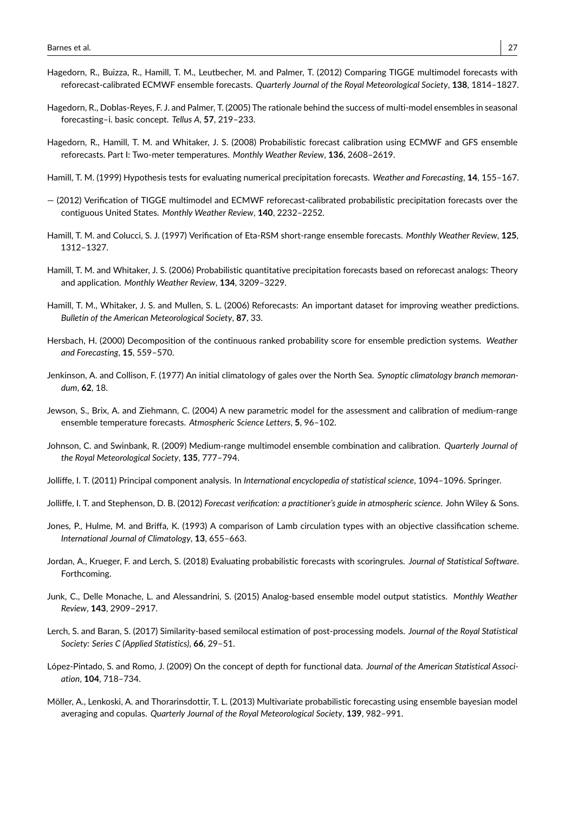- Hagedorn, R., Buizza, R., Hamill, T. M., Leutbecher, M. and Palmer, T. (2012) Comparing TIGGE multimodel forecasts with reforecast-calibrated ECMWF ensemble forecasts. *Quarterly Journal of the Royal Meteorological Society*, **138**, 1814–1827.
- Hagedorn, R., Doblas-Reyes, F. J. and Palmer, T. (2005) The rationale behind the success of multi-model ensembles in seasonal forecasting–i. basic concept. *Tellus A*, **57**, 219–233.
- Hagedorn, R., Hamill, T. M. and Whitaker, J. S. (2008) Probabilistic forecast calibration using ECMWF and GFS ensemble reforecasts. Part I: Two-meter temperatures. *Monthly Weather Review*, **136**, 2608–2619.
- Hamill, T. M. (1999) Hypothesis tests for evaluating numerical precipitation forecasts. *Weather and Forecasting*, **14**, 155–167.
- (2012) Verification of TIGGE multimodel and ECMWF reforecast-calibrated probabilistic precipitation forecasts over the contiguous United States. *Monthly Weather Review*, **140**, 2232–2252.
- Hamill, T. M. and Colucci, S. J. (1997) Verification of Eta-RSM short-range ensemble forecasts. *Monthly Weather Review*, **125**, 1312–1327.
- Hamill, T. M. and Whitaker, J. S. (2006) Probabilistic quantitative precipitation forecasts based on reforecast analogs: Theory and application. *Monthly Weather Review*, **134**, 3209–3229.
- Hamill, T. M., Whitaker, J. S. and Mullen, S. L. (2006) Reforecasts: An important dataset for improving weather predictions. *Bulletin of the American Meteorological Society*, **87**, 33.
- Hersbach, H. (2000) Decomposition of the continuous ranked probability score for ensemble prediction systems. *Weather and Forecasting*, **15**, 559–570.
- Jenkinson, A. and Collison, F. (1977) An initial climatology of gales over the North Sea. *Synoptic climatology branch memorandum*, **62**, 18.
- Jewson, S., Brix, A. and Ziehmann, C. (2004) A new parametric model for the assessment and calibration of medium-range ensemble temperature forecasts. *Atmospheric Science Letters*, **5**, 96–102.
- Johnson, C. and Swinbank, R. (2009) Medium-range multimodel ensemble combination and calibration. *Quarterly Journal of the Royal Meteorological Society*, **135**, 777–794.
- Jolliffe, I. T. (2011) Principal component analysis. In *International encyclopedia of statistical science*, 1094–1096. Springer.
- Jolliffe, I. T. and Stephenson, D. B. (2012) *Forecast verification: a practitioner's guide in atmospheric science*. John Wiley & Sons.
- Jones, P., Hulme, M. and Briffa, K. (1993) A comparison of Lamb circulation types with an objective classification scheme. *International Journal of Climatology*, **13**, 655–663.
- Jordan, A., Krueger, F. and Lerch, S. (2018) Evaluating probabilistic forecasts with scoringrules. *Journal of Statistical Software*. Forthcoming.
- Junk, C., Delle Monache, L. and Alessandrini, S. (2015) Analog-based ensemble model output statistics. *Monthly Weather Review*, **143**, 2909–2917.
- Lerch, S. and Baran, S. (2017) Similarity-based semilocal estimation of post-processing models. *Journal of the Royal Statistical Society: Series C (Applied Statistics)*, **66**, 29–51.
- López-Pintado, S. and Romo, J. (2009) On the concept of depth for functional data. *Journal of the American Statistical Association*, **104**, 718–734.
- Möller, A., Lenkoski, A. and Thorarinsdottir, T. L. (2013) Multivariate probabilistic forecasting using ensemble bayesian model averaging and copulas. *Quarterly Journal of the Royal Meteorological Society*, **139**, 982–991.